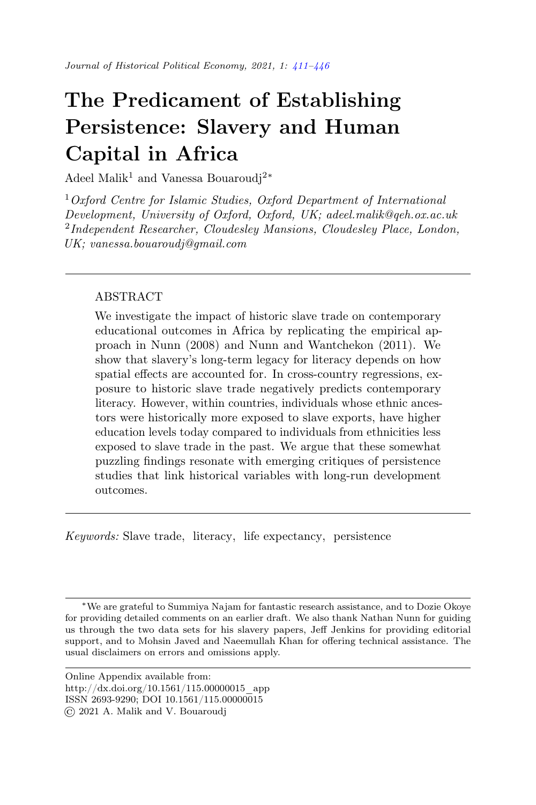# The Predicament of Establishing Persistence: Slavery and Human Capital in Africa

Adeel Malik<sup>1</sup> and Vanessa Bouaroudi<sup>2</sup><sup>\*</sup>

 $1$  Oxford Centre for Islamic Studies, Oxford Department of International Development, University of Oxford, Oxford, UK; adeel.malik@qeh.ox.ac.uk <sup>2</sup>Independent Researcher, Cloudesley Mansions, Cloudesley Place, London, UK; vanessa.bouaroudj@gmail.com

# ABSTRACT

We investigate the impact of historic slave trade on contemporary educational outcomes in Africa by replicating the empirical approach in Nunn (2008) and Nunn and Wantchekon (2011). We show that slavery's long-term legacy for literacy depends on how spatial effects are accounted for. In cross-country regressions, exposure to historic slave trade negatively predicts contemporary literacy. However, within countries, individuals whose ethnic ancestors were historically more exposed to slave exports, have higher education levels today compared to individuals from ethnicities less exposed to slave trade in the past. We argue that these somewhat puzzling findings resonate with emerging critiques of persistence studies that link historical variables with long-run development outcomes.

Keywords: Slave trade, literacy, life expectancy, persistence

<sup>∗</sup>We are grateful to Summiya Najam for fantastic research assistance, and to Dozie Okoye for providing detailed comments on an earlier draft. We also thank Nathan Nunn for guiding us through the two data sets for his slavery papers, Jeff Jenkins for providing editorial support, and to Mohsin Javed and Naeemullah Khan for offering technical assistance. The usual disclaimers on errors and omissions apply.

Online Appendix available from: http://dx.doi.org/10.1561/115.00000015\_app ISSN 2693-9290; DOI 10.1561/115.00000015 © 2021 A. Malik and V. Bouaroudj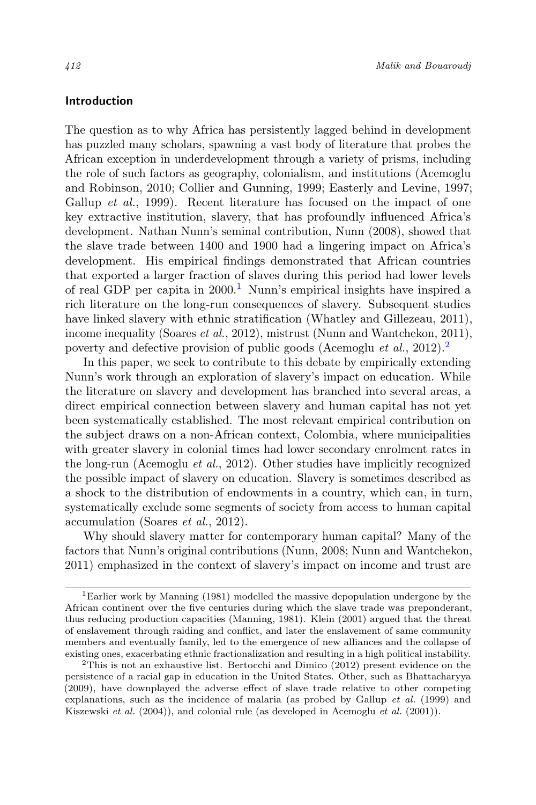# Introduction

The question as to why Africa has persistently lagged behind in development has puzzled many scholars, spawning a vast body of literature that probes the African exception in underdevelopment through a variety of prisms, including the role of such factors as geography, colonialism, and institutions (Acemoglu and Robinson, 2010; Collier and Gunning, 1999; Easterly and Levine, 1997; Gallup *et al.*, 1999). Recent literature has focused on the impact of one key extractive institution, slavery, that has profoundly influenced Africa's development. Nathan Nunn's seminal contribution, Nunn (2008), showed that the slave trade between 1400 and 1900 had a lingering impact on Africa's development. His empirical findings demonstrated that African countries that exported a larger fraction of slaves during this period had lower levels of real GDP per capita in  $2000<sup>1</sup>$  Nunn's empirical insights have inspired a rich literature on the long-run consequences of slavery. Subsequent studies have linked slavery with ethnic stratification (Whatley and Gillezeau, 2011), income inequality (Soares et al., 2012), mistrust (Nunn and Wantchekon, 2011), poverty and defective provision of public goods (Acemoglu *et al.*, 2012).<sup>2</sup>

In this paper, we seek to contribute to this debate by empirically extending Nunn's work through an exploration of slavery's impact on education. While the literature on slavery and development has branched into several areas, a direct empirical connection between slavery and human capital has not yet been systematically established. The most relevant empirical contribution on the subject draws on a non-African context, Colombia, where municipalities with greater slavery in colonial times had lower secondary enrolment rates in the long-run (Acemoglu et al., 2012). Other studies have implicitly recognized the possible impact of slavery on education. Slavery is sometimes described as a shock to the distribution of endowments in a country, which can, in turn, systematically exclude some segments of society from access to human capital accumulation (Soares et al., 2012).

Why should slavery matter for contemporary human capital? Many of the factors that Nunn's original contributions (Nunn, 2008; Nunn and Wantchekon, 2011) emphasized in the context of slavery's impact on income and trust are

<sup>1</sup>Earlier work by Manning (1981) modelled the massive depopulation undergone by the African continent over the five centuries during which the slave trade was preponderant, thus reducing production capacities (Manning, 1981). Klein (2001) argued that the threat of enslavement through raiding and conflict, and later the enslavement of same community members and eventually family, led to the emergence of new alliances and the collapse of existing ones, exacerbating ethnic fractionalization and resulting in a high political instability.

<sup>2</sup>This is not an exhaustive list. Bertocchi and Dimico (2012) present evidence on the persistence of a racial gap in education in the United States. Other, such as Bhattacharyya (2009), have downplayed the adverse effect of slave trade relative to other competing explanations, such as the incidence of malaria (as probed by Gallup et al. (1999) and Kiszewski et al. (2004)), and colonial rule (as developed in Acemoglu et al. (2001)).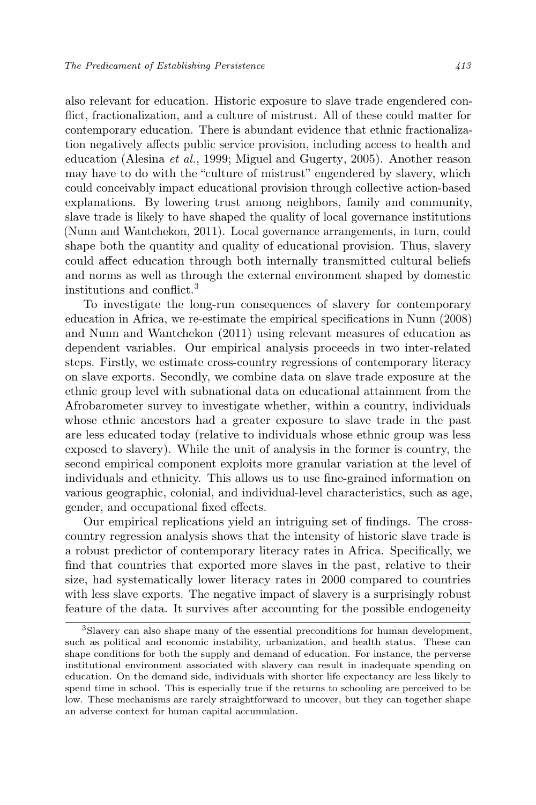also relevant for education. Historic exposure to slave trade engendered conflict, fractionalization, and a culture of mistrust. All of these could matter for contemporary education. There is abundant evidence that ethnic fractionalization negatively affects public service provision, including access to health and education (Alesina et al., 1999; Miguel and Gugerty, 2005). Another reason may have to do with the "culture of mistrust" engendered by slavery, which could conceivably impact educational provision through collective action-based explanations. By lowering trust among neighbors, family and community, slave trade is likely to have shaped the quality of local governance institutions (Nunn and Wantchekon, 2011). Local governance arrangements, in turn, could shape both the quantity and quality of educational provision. Thus, slavery could affect education through both internally transmitted cultural beliefs and norms as well as through the external environment shaped by domestic institutions and conflict.<sup>3</sup>

To investigate the long-run consequences of slavery for contemporary education in Africa, we re-estimate the empirical specifications in Nunn (2008) and Nunn and Wantchekon (2011) using relevant measures of education as dependent variables. Our empirical analysis proceeds in two inter-related steps. Firstly, we estimate cross-country regressions of contemporary literacy on slave exports. Secondly, we combine data on slave trade exposure at the ethnic group level with subnational data on educational attainment from the Afrobarometer survey to investigate whether, within a country, individuals whose ethnic ancestors had a greater exposure to slave trade in the past are less educated today (relative to individuals whose ethnic group was less exposed to slavery). While the unit of analysis in the former is country, the second empirical component exploits more granular variation at the level of individuals and ethnicity. This allows us to use fine-grained information on various geographic, colonial, and individual-level characteristics, such as age, gender, and occupational fixed effects.

Our empirical replications yield an intriguing set of findings. The crosscountry regression analysis shows that the intensity of historic slave trade is a robust predictor of contemporary literacy rates in Africa. Specifically, we find that countries that exported more slaves in the past, relative to their size, had systematically lower literacy rates in 2000 compared to countries with less slave exports. The negative impact of slavery is a surprisingly robust feature of the data. It survives after accounting for the possible endogeneity

<sup>3</sup>Slavery can also shape many of the essential preconditions for human development, such as political and economic instability, urbanization, and health status. These can shape conditions for both the supply and demand of education. For instance, the perverse institutional environment associated with slavery can result in inadequate spending on education. On the demand side, individuals with shorter life expectancy are less likely to spend time in school. This is especially true if the returns to schooling are perceived to be low. These mechanisms are rarely straightforward to uncover, but they can together shape an adverse context for human capital accumulation.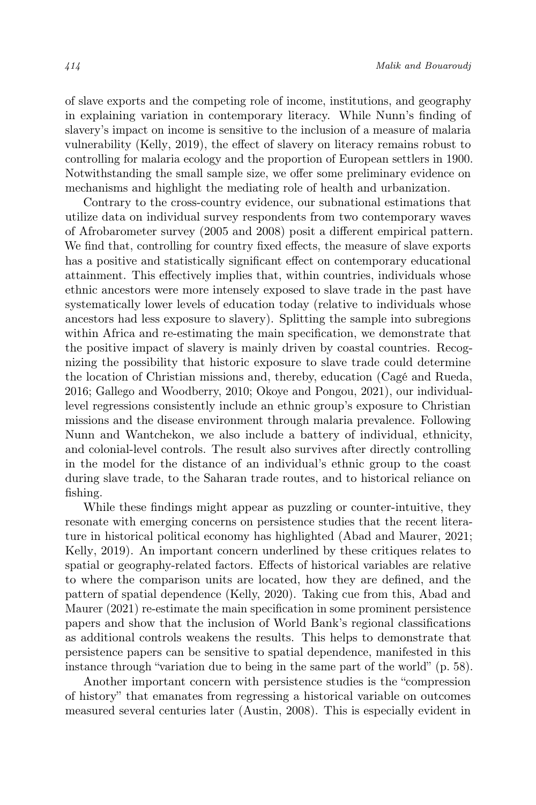of slave exports and the competing role of income, institutions, and geography in explaining variation in contemporary literacy. While Nunn's finding of slavery's impact on income is sensitive to the inclusion of a measure of malaria vulnerability (Kelly, 2019), the effect of slavery on literacy remains robust to controlling for malaria ecology and the proportion of European settlers in 1900. Notwithstanding the small sample size, we offer some preliminary evidence on mechanisms and highlight the mediating role of health and urbanization.

Contrary to the cross-country evidence, our subnational estimations that utilize data on individual survey respondents from two contemporary waves of Afrobarometer survey (2005 and 2008) posit a different empirical pattern. We find that, controlling for country fixed effects, the measure of slave exports has a positive and statistically significant effect on contemporary educational attainment. This effectively implies that, within countries, individuals whose ethnic ancestors were more intensely exposed to slave trade in the past have systematically lower levels of education today (relative to individuals whose ancestors had less exposure to slavery). Splitting the sample into subregions within Africa and re-estimating the main specification, we demonstrate that the positive impact of slavery is mainly driven by coastal countries. Recognizing the possibility that historic exposure to slave trade could determine the location of Christian missions and, thereby, education (Cagé and Rueda, 2016; Gallego and Woodberry, 2010; Okoye and Pongou, 2021), our individuallevel regressions consistently include an ethnic group's exposure to Christian missions and the disease environment through malaria prevalence. Following Nunn and Wantchekon, we also include a battery of individual, ethnicity, and colonial-level controls. The result also survives after directly controlling in the model for the distance of an individual's ethnic group to the coast during slave trade, to the Saharan trade routes, and to historical reliance on fishing.

While these findings might appear as puzzling or counter-intuitive, they resonate with emerging concerns on persistence studies that the recent literature in historical political economy has highlighted (Abad and Maurer, 2021; Kelly, 2019). An important concern underlined by these critiques relates to spatial or geography-related factors. Effects of historical variables are relative to where the comparison units are located, how they are defined, and the pattern of spatial dependence (Kelly, 2020). Taking cue from this, Abad and Maurer (2021) re-estimate the main specification in some prominent persistence papers and show that the inclusion of World Bank's regional classifications as additional controls weakens the results. This helps to demonstrate that persistence papers can be sensitive to spatial dependence, manifested in this instance through "variation due to being in the same part of the world" (p. 58).

Another important concern with persistence studies is the "compression of history" that emanates from regressing a historical variable on outcomes measured several centuries later (Austin, 2008). This is especially evident in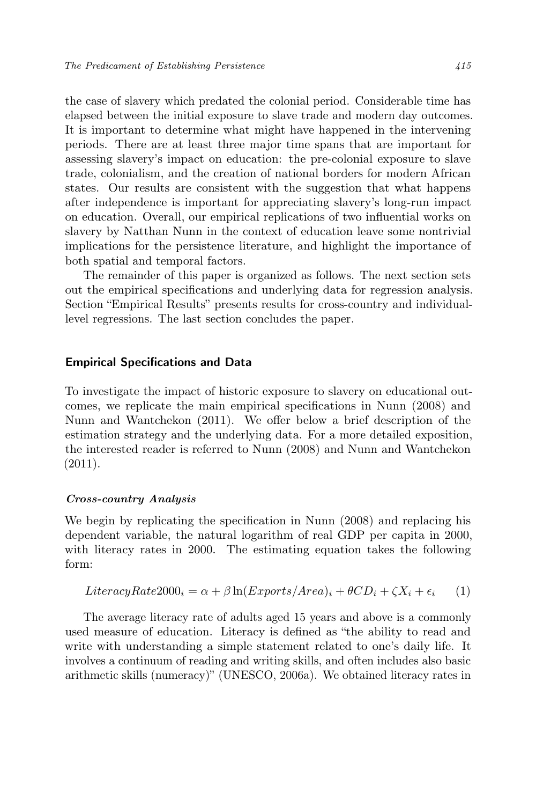the case of slavery which predated the colonial period. Considerable time has elapsed between the initial exposure to slave trade and modern day outcomes. It is important to determine what might have happened in the intervening periods. There are at least three major time spans that are important for assessing slavery's impact on education: the pre-colonial exposure to slave trade, colonialism, and the creation of national borders for modern African states. Our results are consistent with the suggestion that what happens after independence is important for appreciating slavery's long-run impact on education. Overall, our empirical replications of two influential works on slavery by Natthan Nunn in the context of education leave some nontrivial implications for the persistence literature, and highlight the importance of both spatial and temporal factors.

The remainder of this paper is organized as follows. The next section sets out the empirical specifications and underlying data for regression analysis. Section "Empirical Results" presents results for cross-country and individuallevel regressions. The last section concludes the paper.

## Empirical Specifications and Data

To investigate the impact of historic exposure to slavery on educational outcomes, we replicate the main empirical specifications in Nunn (2008) and Nunn and Wantchekon (2011). We offer below a brief description of the estimation strategy and the underlying data. For a more detailed exposition, the interested reader is referred to Nunn (2008) and Nunn and Wantchekon (2011).

#### Cross-country Analysis

We begin by replicating the specification in Nunn (2008) and replacing his dependent variable, the natural logarithm of real GDP per capita in 2000, with literacy rates in 2000. The estimating equation takes the following form:

$$
LiteracyRate 2000_i = \alpha + \beta \ln(Exports/Area)_i + \theta CD_i + \zeta X_i + \epsilon_i \tag{1}
$$

The average literacy rate of adults aged 15 years and above is a commonly used measure of education. Literacy is defined as "the ability to read and write with understanding a simple statement related to one's daily life. It involves a continuum of reading and writing skills, and often includes also basic arithmetic skills (numeracy)" (UNESCO, 2006a). We obtained literacy rates in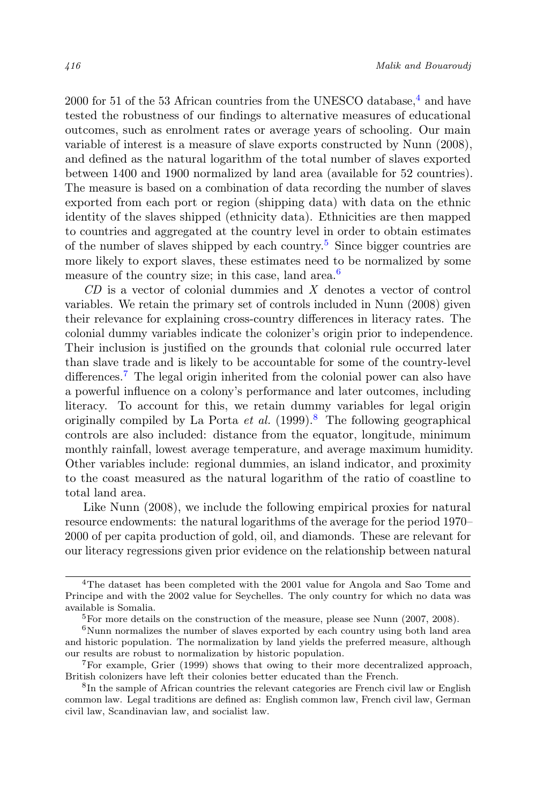2000 for 51 of the 53 African countries from the UNESCO database.<sup>4</sup> and have tested the robustness of our findings to alternative measures of educational outcomes, such as enrolment rates or average years of schooling. Our main variable of interest is a measure of slave exports constructed by Nunn (2008), and defined as the natural logarithm of the total number of slaves exported between 1400 and 1900 normalized by land area (available for 52 countries). The measure is based on a combination of data recording the number of slaves exported from each port or region (shipping data) with data on the ethnic identity of the slaves shipped (ethnicity data). Ethnicities are then mapped to countries and aggregated at the country level in order to obtain estimates of the number of slaves shipped by each country.<sup>5</sup> Since bigger countries are more likely to export slaves, these estimates need to be normalized by some measure of the country size; in this case, land area.<sup>6</sup>

CD is a vector of colonial dummies and X denotes a vector of control variables. We retain the primary set of controls included in Nunn (2008) given their relevance for explaining cross-country differences in literacy rates. The colonial dummy variables indicate the colonizer's origin prior to independence. Their inclusion is justified on the grounds that colonial rule occurred later than slave trade and is likely to be accountable for some of the country-level differences.<sup>7</sup> The legal origin inherited from the colonial power can also have a powerful influence on a colony's performance and later outcomes, including literacy. To account for this, we retain dummy variables for legal origin originally compiled by La Porta *et al.*  $(1999).$ <sup>8</sup> The following geographical controls are also included: distance from the equator, longitude, minimum monthly rainfall, lowest average temperature, and average maximum humidity. Other variables include: regional dummies, an island indicator, and proximity to the coast measured as the natural logarithm of the ratio of coastline to total land area.

Like Nunn (2008), we include the following empirical proxies for natural resource endowments: the natural logarithms of the average for the period 1970– 2000 of per capita production of gold, oil, and diamonds. These are relevant for our literacy regressions given prior evidence on the relationship between natural

<sup>&</sup>lt;sup>4</sup>The dataset has been completed with the 2001 value for Angola and Sao Tome and Principe and with the 2002 value for Seychelles. The only country for which no data was available is Somalia.

<sup>&</sup>lt;sup>5</sup>For more details on the construction of the measure, please see Nunn  $(2007, 2008)$ .

 $6$ Nunn normalizes the number of slaves exported by each country using both land area and historic population. The normalization by land yields the preferred measure, although our results are robust to normalization by historic population.

<sup>7</sup>For example, Grier (1999) shows that owing to their more decentralized approach, British colonizers have left their colonies better educated than the French.

<sup>8</sup> In the sample of African countries the relevant categories are French civil law or English common law. Legal traditions are defined as: English common law, French civil law, German civil law, Scandinavian law, and socialist law.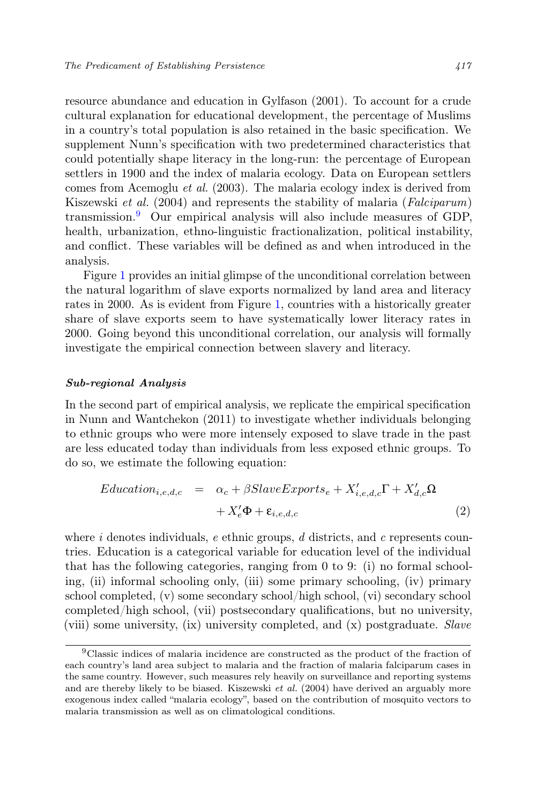resource abundance and education in Gylfason (2001). To account for a crude cultural explanation for educational development, the percentage of Muslims in a country's total population is also retained in the basic specification. We supplement Nunn's specification with two predetermined characteristics that could potentially shape literacy in the long-run: the percentage of European settlers in 1900 and the index of malaria ecology. Data on European settlers comes from Acemoglu et al. (2003). The malaria ecology index is derived from Kiszewski et al. (2004) and represents the stability of malaria (Falciparum) transmission.<sup>9</sup> Our empirical analysis will also include measures of GDP, health, urbanization, ethno-linguistic fractionalization, political instability, and conflict. These variables will be defined as and when introduced in the analysis.

Figure 1 provides an initial glimpse of the unconditional correlation between the natural logarithm of slave exports normalized by land area and literacy rates in 2000. As is evident from Figure 1, countries with a historically greater share of slave exports seem to have systematically lower literacy rates in 2000. Going beyond this unconditional correlation, our analysis will formally investigate the empirical connection between slavery and literacy.

#### Sub-regional Analysis

In the second part of empirical analysis, we replicate the empirical specification in Nunn and Wantchekon (2011) to investigate whether individuals belonging to ethnic groups who were more intensely exposed to slave trade in the past are less educated today than individuals from less exposed ethnic groups. To do so, we estimate the following equation:

$$
Education_{i,e,d,c} = \alpha_c + \beta SlaveExpress_{e} + X'_{i,e,d,c} \Gamma + X'_{d,c} \Omega
$$

$$
+ X'_{e} \Phi + \varepsilon_{i,e,d,c}
$$
(2)

where i denotes individuals, e ethnic groups,  $d$  districts, and  $c$  represents countries. Education is a categorical variable for education level of the individual that has the following categories, ranging from 0 to 9: (i) no formal schooling, (ii) informal schooling only, (iii) some primary schooling, (iv) primary school completed, (v) some secondary school/high school, (vi) secondary school completed/high school, (vii) postsecondary qualifications, but no university, (viii) some university, (ix) university completed, and (x) postgraduate. Slave

<sup>9</sup>Classic indices of malaria incidence are constructed as the product of the fraction of each country's land area subject to malaria and the fraction of malaria falciparum cases in the same country. However, such measures rely heavily on surveillance and reporting systems and are thereby likely to be biased. Kiszewski et al. (2004) have derived an arguably more exogenous index called "malaria ecology", based on the contribution of mosquito vectors to malaria transmission as well as on climatological conditions.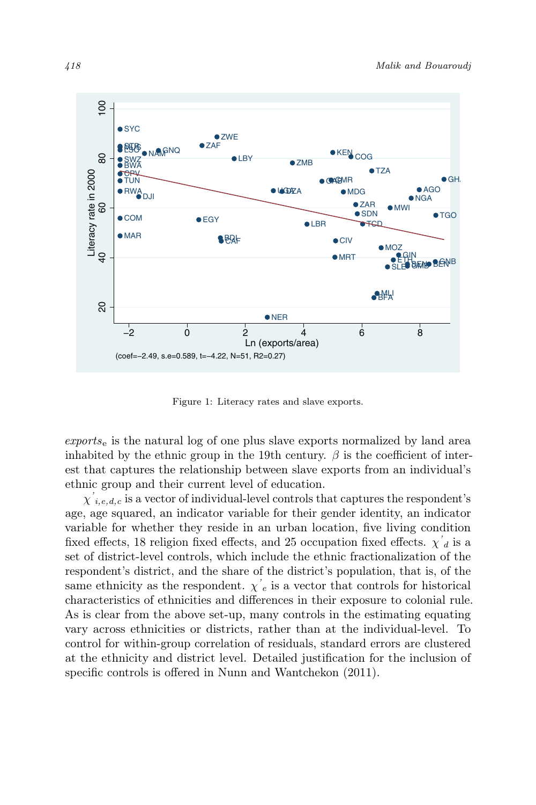

Figure 1: Literacy rates and slave exports.

 $\epsilon$ *exports*<sub>e</sub> is the natural log of one plus slave exports normalized by land area inhabited by the ethnic group in the 19th century.  $\beta$  is the coefficient of interest that captures the relationship between slave exports from an individual's ethnic group and their current level of education.

 $\chi^{'}_{i,e,d,c}$  is a vector of individual-level controls that captures the respondent's age, age squared, an indicator variable for their gender identity, an indicator variable for whether they reside in an urban location, five living condition fixed effects, 18 religion fixed effects, and 25 occupation fixed effects.  $\chi^{'}{}_d$  is a set of district-level controls, which include the ethnic fractionalization of the respondent's district, and the share of the district's population, that is, of the same ethnicity as the respondent.  $\chi'_{e}$  is a vector that controls for historical characteristics of ethnicities and differences in their exposure to colonial rule. As is clear from the above set-up, many controls in the estimating equating vary across ethnicities or districts, rather than at the individual-level. To control for within-group correlation of residuals, standard errors are clustered at the ethnicity and district level. Detailed justification for the inclusion of specific controls is offered in Nunn and Wantchekon (2011).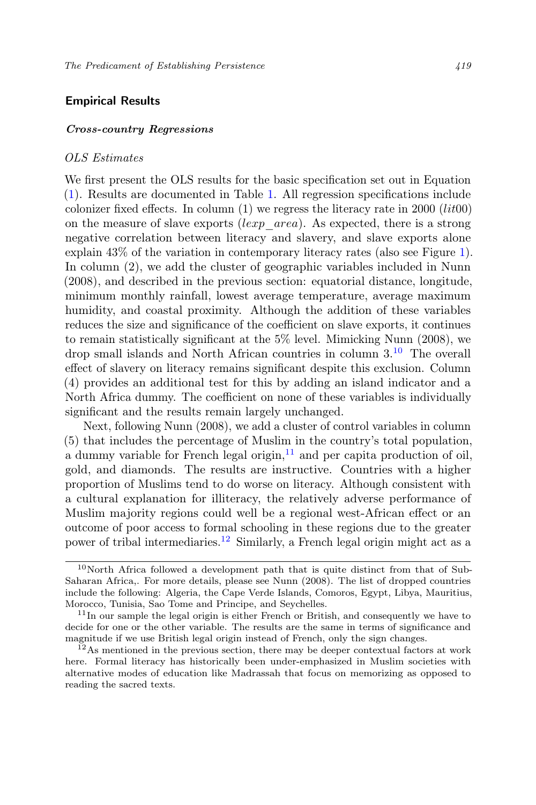# Empirical Results

# Cross-country Regressions

## OLS Estimates

We first present the OLS results for the basic specification set out in Equation (1). Results are documented in Table 1. All regression specifications include colonizer fixed effects. In column  $(1)$  we regress the literacy rate in 2000 (*lit*00) on the measure of slave exports (lexp  $area)$ ). As expected, there is a strong negative correlation between literacy and slavery, and slave exports alone explain 43% of the variation in contemporary literacy rates (also see Figure 1). In column (2), we add the cluster of geographic variables included in Nunn (2008), and described in the previous section: equatorial distance, longitude, minimum monthly rainfall, lowest average temperature, average maximum humidity, and coastal proximity. Although the addition of these variables reduces the size and significance of the coefficient on slave exports, it continues to remain statistically significant at the 5% level. Mimicking Nunn (2008), we drop small islands and North African countries in column 3.<sup>10</sup> The overall effect of slavery on literacy remains significant despite this exclusion. Column (4) provides an additional test for this by adding an island indicator and a North Africa dummy. The coefficient on none of these variables is individually significant and the results remain largely unchanged.

Next, following Nunn (2008), we add a cluster of control variables in column (5) that includes the percentage of Muslim in the country's total population, a dummy variable for French legal origin, $11$  and per capita production of oil, gold, and diamonds. The results are instructive. Countries with a higher proportion of Muslims tend to do worse on literacy. Although consistent with a cultural explanation for illiteracy, the relatively adverse performance of Muslim majority regions could well be a regional west-African effect or an outcome of poor access to formal schooling in these regions due to the greater power of tribal intermediaries.<sup>12</sup> Similarly, a French legal origin might act as a

 $10$ North Africa followed a development path that is quite distinct from that of Sub-Saharan Africa,. For more details, please see Nunn (2008). The list of dropped countries include the following: Algeria, the Cape Verde Islands, Comoros, Egypt, Libya, Mauritius, Morocco, Tunisia, Sao Tome and Principe, and Seychelles.

 $11$ In our sample the legal origin is either French or British, and consequently we have to decide for one or the other variable. The results are the same in terms of significance and magnitude if we use British legal origin instead of French, only the sign changes.

 $12$ As mentioned in the previous section, there may be deeper contextual factors at work here. Formal literacy has historically been under-emphasized in Muslim societies with alternative modes of education like Madrassah that focus on memorizing as opposed to reading the sacred texts.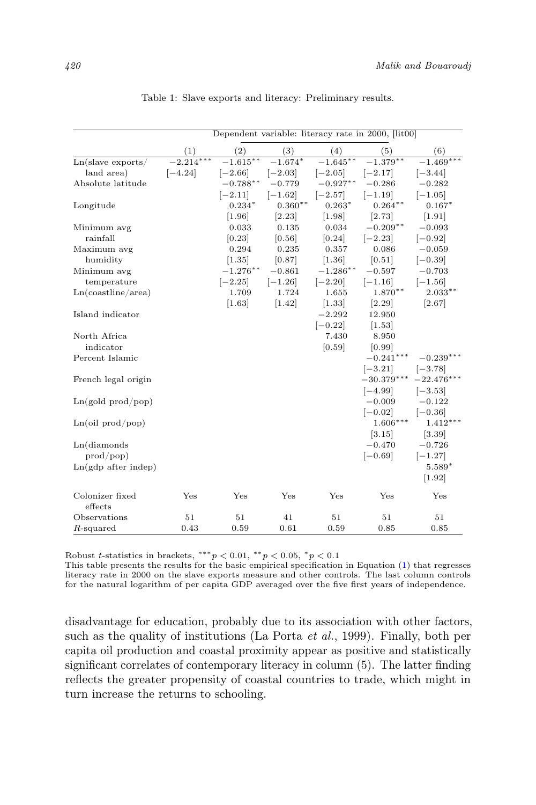|                            |             |                          |           |                     | Dependent variable: literacy rate in 2000, [lit00] |              |
|----------------------------|-------------|--------------------------|-----------|---------------------|----------------------------------------------------|--------------|
|                            | (1)         | $\left( 2\right)$        | (3)       | (4)                 | (5)                                                | (6)          |
| $Ln(s$ lave exports/       | $-2.214***$ | $-\overline{1.615}^{**}$ | $-1.674*$ | $-1.645**$          | $-1.379**$                                         | $-1.469***$  |
| land area)                 | $[-4.24]$   | $[-2.66]$                | $[-2.03]$ | $[-2.05]$           | $[-2.17]$                                          | $[-3.44]$    |
| Absolute latitude          |             | $-0.788**$               | $-0.779$  | $-0.927**$          | $-0.286$                                           | $-0.282$     |
|                            |             | $[-2.11]$                | $[-1.62]$ | $[-2.57]$           | $[-1.19]$                                          | $[-1.05]$    |
| Longitude                  |             | $0.234*$                 | $0.360**$ | $0.263*$            | $0.264***$                                         | $0.167*$     |
|                            |             | [1.96]                   | [2.23]    | $\left[1.98\right]$ | [2.73]                                             | [1.91]       |
| Minimum avg                |             | 0.033                    | 0.135     | 0.034               | $-0.209**$                                         | $-0.093$     |
| rainfall                   |             | [0.23]                   | [0.56]    | [0.24]              | $[-2.23]$                                          | $[-0.92]$    |
| Maximum avg                |             | 0.294                    | 0.235     | 0.357               | 0.086                                              | $-0.059$     |
| humidity                   |             | [1.35]                   | [0.87]    | $[1.36]$            | [0.51]                                             | $[-0.39]$    |
| Minimum avg                |             | $-1.276***$              | $-0.861$  | $-1.286$ **         | $-0.597$                                           | $-0.703$     |
| temperature                |             | $[-2.25]$                | $[-1.26]$ | $[-2.20]$           | $[-1.16]$                                          | $[-1.56]$    |
| Ln(costline/area)          |             | 1.709                    | 1.724     | 1.655               | $1.870**$                                          | $2.033**$    |
|                            |             | [1.63]                   | $[1.42]$  | [1.33]              | $[2.29]$                                           | [2.67]       |
| Island indicator           |             |                          |           | $-2.292$            | 12.950                                             |              |
|                            |             |                          |           | $[-0.22]$           | [1.53]                                             |              |
| North Africa               |             |                          |           | 7.430               | 8.950                                              |              |
| indicator                  |             |                          |           | [0.59]              | [0.99]                                             |              |
| Percent Islamic            |             |                          |           |                     | $-0.241***$                                        | $-0.239***$  |
|                            |             |                          |           |                     | $[-3.21]$                                          | $ -3.78 $    |
| French legal origin        |             |                          |           |                     | $-30.379***$                                       | $-22.476***$ |
|                            |             |                          |           |                     | $[-4.99]$                                          | $[-3.53]$    |
| Ln(gold prod/pop)          |             |                          |           |                     | $-0.009$                                           | $-0.122$     |
|                            |             |                          |           |                     | $[-0.02]$                                          | $[-0.36]$    |
| Ln(oil prod/pop)           |             |                          |           |                     | $1.606***$                                         | $1.412***$   |
|                            |             |                          |           |                     | [3.15]                                             | [3.39]       |
| Ln(diamonds)               |             |                          |           |                     | $-0.470$                                           | $-0.726$     |
| $\text{prod}/\text{pop}$   |             |                          |           |                     | $[-0.69]$                                          | $[-1.27]$    |
| $Ln(gdp$ after indep)      |             |                          |           |                     |                                                    | $5.589*$     |
|                            |             |                          |           |                     |                                                    | [1.92]       |
| Colonizer fixed<br>effects | Yes         | Yes                      | Yes       | Yes                 | Yes                                                | Yes          |
| Observations               | 51          | 51                       | 41        | 51                  | 51                                                 | 51           |
| $R$ -squared               | 0.43        | 0.59                     | 0.61      | 0.59                | 0.85                                               | 0.85         |

Table 1: Slave exports and literacy: Preliminary results.

Robust t-statistics in brackets,  $***p < 0.01$ ,  $**p < 0.05$ ,  $p < 0.1$ 

This table presents the results for the basic empirical specification in Equation (1) that regresses literacy rate in 2000 on the slave exports measure and other controls. The last column controls for the natural logarithm of per capita GDP averaged over the five first years of independence.

disadvantage for education, probably due to its association with other factors, such as the quality of institutions (La Porta et al., 1999). Finally, both per capita oil production and coastal proximity appear as positive and statistically significant correlates of contemporary literacy in column (5). The latter finding reflects the greater propensity of coastal countries to trade, which might in turn increase the returns to schooling.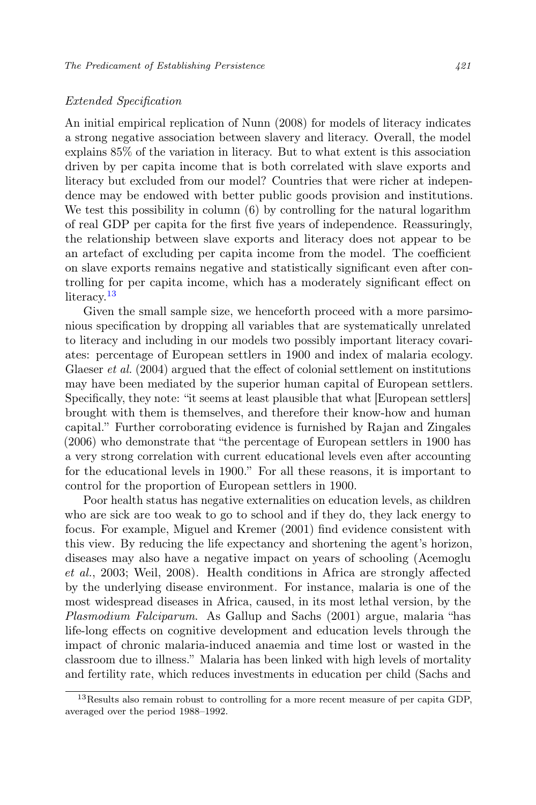## Extended Specification

An initial empirical replication of Nunn (2008) for models of literacy indicates a strong negative association between slavery and literacy. Overall, the model explains 85% of the variation in literacy. But to what extent is this association driven by per capita income that is both correlated with slave exports and literacy but excluded from our model? Countries that were richer at independence may be endowed with better public goods provision and institutions. We test this possibility in column  $(6)$  by controlling for the natural logarithm of real GDP per capita for the first five years of independence. Reassuringly, the relationship between slave exports and literacy does not appear to be an artefact of excluding per capita income from the model. The coefficient on slave exports remains negative and statistically significant even after controlling for per capita income, which has a moderately significant effect on literacy.<sup>13</sup>

Given the small sample size, we henceforth proceed with a more parsimonious specification by dropping all variables that are systematically unrelated to literacy and including in our models two possibly important literacy covariates: percentage of European settlers in 1900 and index of malaria ecology. Glaeser *et al.* (2004) argued that the effect of colonial settlement on institutions may have been mediated by the superior human capital of European settlers. Specifically, they note: "it seems at least plausible that what [European settlers] brought with them is themselves, and therefore their know-how and human capital." Further corroborating evidence is furnished by Rajan and Zingales (2006) who demonstrate that "the percentage of European settlers in 1900 has a very strong correlation with current educational levels even after accounting for the educational levels in 1900." For all these reasons, it is important to control for the proportion of European settlers in 1900.

Poor health status has negative externalities on education levels, as children who are sick are too weak to go to school and if they do, they lack energy to focus. For example, Miguel and Kremer (2001) find evidence consistent with this view. By reducing the life expectancy and shortening the agent's horizon, diseases may also have a negative impact on years of schooling (Acemoglu et al., 2003; Weil, 2008). Health conditions in Africa are strongly affected by the underlying disease environment. For instance, malaria is one of the most widespread diseases in Africa, caused, in its most lethal version, by the Plasmodium Falciparum. As Gallup and Sachs (2001) argue, malaria "has life-long effects on cognitive development and education levels through the impact of chronic malaria-induced anaemia and time lost or wasted in the classroom due to illness." Malaria has been linked with high levels of mortality and fertility rate, which reduces investments in education per child (Sachs and

<sup>&</sup>lt;sup>13</sup>Results also remain robust to controlling for a more recent measure of per capita GDP, averaged over the period 1988–1992.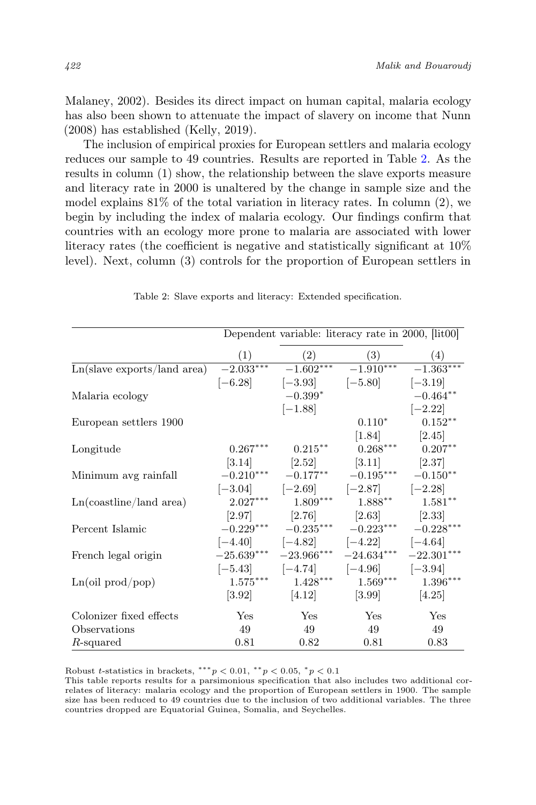Malaney, 2002). Besides its direct impact on human capital, malaria ecology has also been shown to attenuate the impact of slavery on income that Nunn (2008) has established (Kelly, 2019).

The inclusion of empirical proxies for European settlers and malaria ecology reduces our sample to 49 countries. Results are reported in Table 2. As the results in column (1) show, the relationship between the slave exports measure and literacy rate in 2000 is unaltered by the change in sample size and the model explains  $81\%$  of the total variation in literacy rates. In column (2), we begin by including the index of malaria ecology. Our findings confirm that countries with an ecology more prone to malaria are associated with lower literacy rates (the coefficient is negative and statistically significant at 10% level). Next, column (3) controls for the proportion of European settlers in

|                                                               |             |                           | Dependent variable: literacy rate in 2000, [lit00] |              |
|---------------------------------------------------------------|-------------|---------------------------|----------------------------------------------------|--------------|
|                                                               | (1)         | (2)                       | (3)                                                | (4)          |
| $\overline{\text{Ln}(\text{slave exports}/\text{land area})}$ | $-2.033***$ |                           | $-1.602***$ $-1.910***$                            | $-1.363***$  |
|                                                               |             | $[-6.28]$ $[-3.93]$       | $[-5.80]$ $[-3.19]$                                |              |
| Malaria ecology                                               |             | $-0.399*$                 |                                                    | $-0.464**$   |
|                                                               |             | $[-1.88]$                 |                                                    | $[-2.22]$    |
| European settlers 1900                                        |             |                           | $0.110*$                                           | $0.152**$    |
|                                                               |             |                           | $\left[1.84\right]$                                | $[2.45]$     |
| Longitude                                                     | $0.267***$  | $0.215***$                | $0.268***$                                         | $0.207***$   |
|                                                               |             |                           | $[3.14]$ $[2.52]$ $[3.11]$ $[2.37]$                |              |
| Minimum avg rainfall                                          |             |                           | $-0.210***$ $-0.177***$ $-0.195***$ $-0.150**$     |              |
|                                                               |             |                           | $[-3.04]$ $[-2.69]$ $[-2.87]$ $[-2.28]$            |              |
| Ln(costline/land area)                                        |             | $2.027***$ $1.809***$     | $1.888***$                                         | $1.581**$    |
|                                                               |             |                           | $[2.97]$ $[2.76]$ $[2.63]$ $[2.33]$                |              |
| Percent Islamic                                               |             |                           | $-0.229***$ $-0.235***$ $-0.223***$ $-0.228***$    |              |
|                                                               |             |                           | $[-4.40]$ $[-4.82]$ $[-4.22]$ $[-4.64]$            |              |
| French legal origin                                           |             | $-25.639***$ $-23.966***$ | $-24.634***$                                       | $-22.301***$ |
|                                                               |             |                           | $[-5.43]$ $[-4.74]$ $[-4.96]$ $[-3.94]$            |              |
| Ln(oil prod/pop)                                              | $1.575***$  | $1.428***$                | $1.569***$                                         | $1.396***$   |
|                                                               |             | $[3.92]$ $[4.12]$         | [3.99]                                             | [4.25]       |
| Colonizer fixed effects                                       | <b>Yes</b>  | Yes                       | Yes                                                | Yes          |
| Observations                                                  | 49          | 49                        | 49                                                 | 49           |
| R-squared                                                     | 0.81        | 0.82                      | 0.81                                               | 0.83         |

Table 2: Slave exports and literacy: Extended specification.

Robust t-statistics in brackets, \*\*\* $p < 0.01$ , \*\* $p < 0.05$ , \* $p < 0.1$ 

This table reports results for a parsimonious specification that also includes two additional correlates of literacy: malaria ecology and the proportion of European settlers in 1900. The sample size has been reduced to 49 countries due to the inclusion of two additional variables. The three countries dropped are Equatorial Guinea, Somalia, and Seychelles.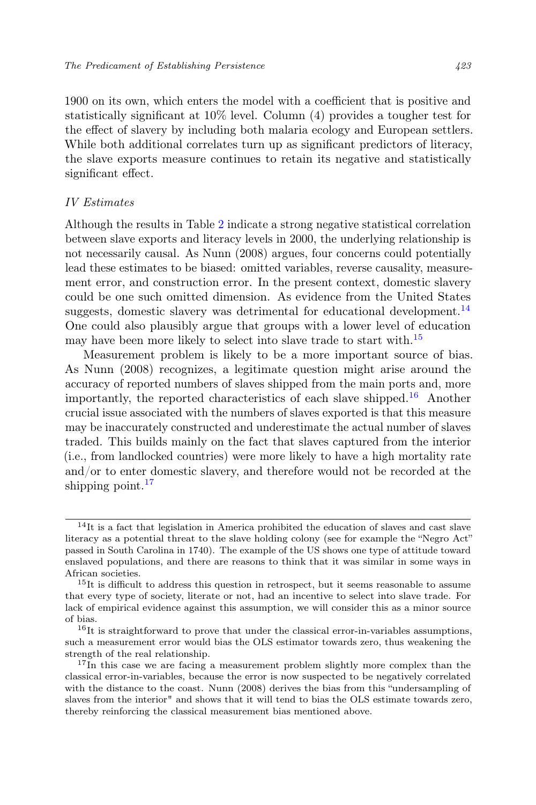1900 on its own, which enters the model with a coefficient that is positive and statistically significant at 10% level. Column (4) provides a tougher test for the effect of slavery by including both malaria ecology and European settlers. While both additional correlates turn up as significant predictors of literacy, the slave exports measure continues to retain its negative and statistically significant effect.

## IV Estimates

Although the results in Table 2 indicate a strong negative statistical correlation between slave exports and literacy levels in 2000, the underlying relationship is not necessarily causal. As Nunn (2008) argues, four concerns could potentially lead these estimates to be biased: omitted variables, reverse causality, measurement error, and construction error. In the present context, domestic slavery could be one such omitted dimension. As evidence from the United States suggests, domestic slavery was detrimental for educational development. $^{14}$ One could also plausibly argue that groups with a lower level of education may have been more likely to select into slave trade to start with.<sup>15</sup>

Measurement problem is likely to be a more important source of bias. As Nunn (2008) recognizes, a legitimate question might arise around the accuracy of reported numbers of slaves shipped from the main ports and, more importantly, the reported characteristics of each slave shipped.<sup>16</sup> Another crucial issue associated with the numbers of slaves exported is that this measure may be inaccurately constructed and underestimate the actual number of slaves traded. This builds mainly on the fact that slaves captured from the interior (i.e., from landlocked countries) were more likely to have a high mortality rate and/or to enter domestic slavery, and therefore would not be recorded at the shipping point. $17$ 

 $14$ It is a fact that legislation in America prohibited the education of slaves and cast slave literacy as a potential threat to the slave holding colony (see for example the "Negro Act" passed in South Carolina in 1740). The example of the US shows one type of attitude toward enslaved populations, and there are reasons to think that it was similar in some ways in African societies.

<sup>&</sup>lt;sup>15</sup>It is difficult to address this question in retrospect, but it seems reasonable to assume that every type of society, literate or not, had an incentive to select into slave trade. For lack of empirical evidence against this assumption, we will consider this as a minor source of bias.

 $^{16}{\rm It}$  is straightforward to prove that under the classical error-in-variables assumptions, such a measurement error would bias the OLS estimator towards zero, thus weakening the strength of the real relationship.

<sup>&</sup>lt;sup>17</sup>In this case we are facing a measurement problem slightly more complex than the classical error-in-variables, because the error is now suspected to be negatively correlated with the distance to the coast. Nunn (2008) derives the bias from this "undersampling of slaves from the interior" and shows that it will tend to bias the OLS estimate towards zero, thereby reinforcing the classical measurement bias mentioned above.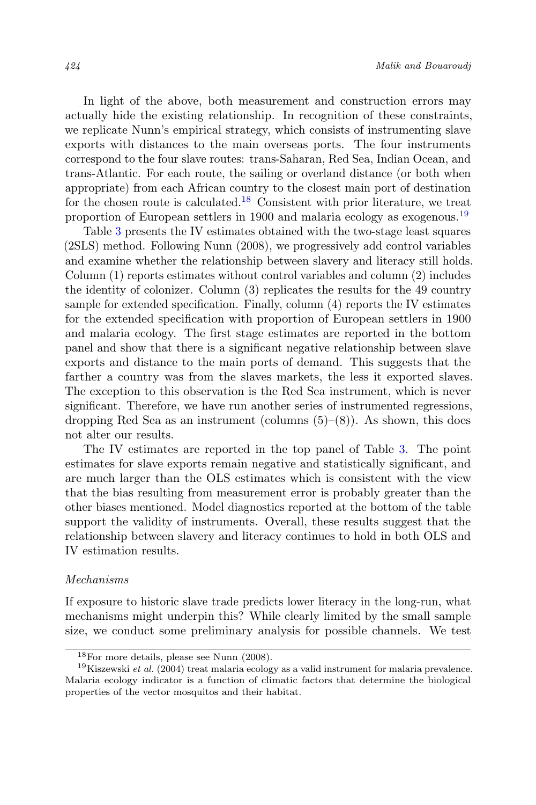In light of the above, both measurement and construction errors may actually hide the existing relationship. In recognition of these constraints, we replicate Nunn's empirical strategy, which consists of instrumenting slave exports with distances to the main overseas ports. The four instruments correspond to the four slave routes: trans-Saharan, Red Sea, Indian Ocean, and trans-Atlantic. For each route, the sailing or overland distance (or both when appropriate) from each African country to the closest main port of destination for the chosen route is calculated.<sup>18</sup> Consistent with prior literature, we treat proportion of European settlers in 1900 and malaria ecology as exogenous.<sup>19</sup>

Table 3 presents the IV estimates obtained with the two-stage least squares (2SLS) method. Following Nunn (2008), we progressively add control variables and examine whether the relationship between slavery and literacy still holds. Column (1) reports estimates without control variables and column (2) includes the identity of colonizer. Column (3) replicates the results for the 49 country sample for extended specification. Finally, column (4) reports the IV estimates for the extended specification with proportion of European settlers in 1900 and malaria ecology. The first stage estimates are reported in the bottom panel and show that there is a significant negative relationship between slave exports and distance to the main ports of demand. This suggests that the farther a country was from the slaves markets, the less it exported slaves. The exception to this observation is the Red Sea instrument, which is never significant. Therefore, we have run another series of instrumented regressions, dropping Red Sea as an instrument (columns  $(5)-(8)$ ). As shown, this does not alter our results.

The IV estimates are reported in the top panel of Table 3. The point estimates for slave exports remain negative and statistically significant, and are much larger than the OLS estimates which is consistent with the view that the bias resulting from measurement error is probably greater than the other biases mentioned. Model diagnostics reported at the bottom of the table support the validity of instruments. Overall, these results suggest that the relationship between slavery and literacy continues to hold in both OLS and IV estimation results.

#### Mechanisms

If exposure to historic slave trade predicts lower literacy in the long-run, what mechanisms might underpin this? While clearly limited by the small sample size, we conduct some preliminary analysis for possible channels. We test

<sup>18</sup>For more details, please see Nunn (2008).

<sup>&</sup>lt;sup>19</sup>Kiszewski *et al.* (2004) treat malaria ecology as a valid instrument for malaria prevalence. Malaria ecology indicator is a function of climatic factors that determine the biological properties of the vector mosquitos and their habitat.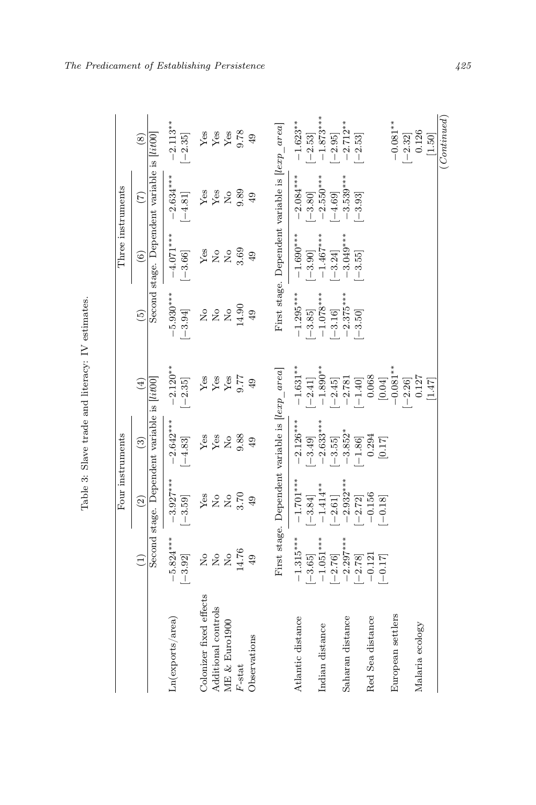| l                         |
|---------------------------|
| j                         |
| $\ddot{\phantom{a}}$<br>ı |
| :<br>۲<br>م               |
| ١<br>ׇ֖֖֖֚֚֚֚֚֚֡֝         |
| i<br>١<br>i<br>i<br>١     |
|                           |

|                         |                                |                                                 | Four instruments                               |                                    |                                                                        |                                     | Three instruments                                |                          |
|-------------------------|--------------------------------|-------------------------------------------------|------------------------------------------------|------------------------------------|------------------------------------------------------------------------|-------------------------------------|--------------------------------------------------|--------------------------|
|                         | $\widehat{\Xi}$                | $\widehat{c}$                                   | $\widehat{c}$                                  | $\tag{4}$                          | $\widetilde{5}$                                                        | $\widehat{6}$                       | $\widetilde{C}$                                  | $\circledast$            |
|                         |                                | Second stage. Dependent variable is [lit00]     |                                                |                                    |                                                                        |                                     | Second stage. Dependent variable is <i>lit00</i> |                          |
| Ln(exports/area)        | $-5.824***$<br>$[-3.92]$       | $-3.927***$<br>$[-3.59]$                        | $-2.642***$<br>$[-4.83]$                       | $-2.120**$<br>$\left[-2.35\right]$ | $-5.930***$<br>$[-3.94]$                                               | $-4.071***$<br>$[-3.66]$            | $-2.634***$<br>$[-4.81]$                         | $-2.113**$<br>$[-2.35]$  |
| Colonizer fixed effects | $\mathop{\mathsf{S}}\nolimits$ | ${\rm Yes}$                                     | ${\rm Yes}$                                    | ${\rm Yes}$                        | $\mathop{\mathsf{S}}\nolimits$                                         | Yes                                 | ${\rm Yes}$                                      | ${\rm Yes}$              |
| Additional controls     | $\stackrel{\circ}{\simeq}$     | $\frac{1}{2}$                                   | ${\rm Yes}$                                    | ${\rm Yes}$                        | $\rm \stackrel{\circ}{\rm \stackrel{\circ}{\rm \scriptscriptstyle M}}$ | $\stackrel{\mathtt{o}}{\mathsf{z}}$ | ${\rm Yes}$                                      | ${\rm Yes}$              |
| ME & Euro1900           | $\mathop{\rm S}\nolimits$      | $\overline{R}$                                  | $\rm \stackrel{\circ}{\rm \bf Z}$              | ${\rm Yes}$                        | $\overline{N}_{\overline{O}}$                                          | $\rm _{Xo}$                         | $\overline{a}$                                   | ${\rm Yes}$              |
| $F$ -stat               | 14.76                          | 3.70                                            | 9.88                                           | 9.77                               | 14.90                                                                  | 3.69                                | 9.89                                             | 9.78                     |
| Observations            | 49                             | 49                                              | 49                                             | 49                                 | $\overline{49}$                                                        | 49                                  | 49                                               | 49                       |
|                         |                                | First stage. Dependent variable is [lexp_area]  |                                                |                                    |                                                                        |                                     | First stage. Dependent variable is [lexp_area]   |                          |
| Atlantic distance       | $-1.315***$                    | $-1.701***$                                     | $-2.126***$                                    | $-1.631**$                         | $-1.295***$                                                            | $-1.690***$                         | $-2.084***$                                      | $-1.623**$               |
|                         | $[-3.65]$                      | $\begin{bmatrix} -3.84 \\ -1.414 \end{bmatrix}$ | $[-3.49]$                                      | $[-2.41]$                          | $\begin{bmatrix} -3.85 \\ -1.078*** \end{bmatrix}$                     | $[-3.90]$                           | $-2.550***$<br>$\left[-3.80\right]$              | $[-2.53]$                |
| Indian distance         | $-1.051***$<br>$[-2.76]$       | $[-2.61]$                                       | $-2.633***$<br>$\left[-3.55\right]$            | $-1.890**$<br>$[-2.45]$            | $[-3.16]$                                                              | $-1.467***$<br>$[-3.24]$            | $-4.69$                                          | $-1.873***$<br>$[-2.95]$ |
| Saharan distance        | $-2.297***$                    | $-2.932***$                                     | $-3.852*$                                      | $-2.781$                           | $-2.375***$                                                            | $-3.049***$                         | $-3.539***$                                      | $-2.712**$               |
| Red Sea distance        | $-0.121$<br>$[-2.78]$          | $\begin{array}{c}[-2.72]\\-0.156\end{array}$    | $\begin{bmatrix} -1.86 \\ 0.294 \end{bmatrix}$ | $\left[-1.40\right]$ $0.068$       | $[-3.50]$                                                              | $[-3.55]$                           | $[-3.93]$                                        | $[-2.53]$                |
|                         | $[-0.17]$                      | $[-0.18]$                                       | $[0.17]$                                       | $[0.04]$                           |                                                                        |                                     |                                                  |                          |
| European settlers       |                                |                                                 |                                                | $-0.081**$                         |                                                                        |                                     |                                                  | $-0.081**$               |
|                         |                                |                                                 |                                                | $[-2.26]$                          |                                                                        |                                     |                                                  | $[-2.32]$                |
| Malaria ecology         |                                |                                                 |                                                | 0.127                              |                                                                        |                                     |                                                  | 0.126                    |
|                         |                                |                                                 |                                                | [1.47]                             |                                                                        |                                     |                                                  | [1.50]                   |
|                         |                                |                                                 |                                                |                                    |                                                                        |                                     |                                                  | (Continued)              |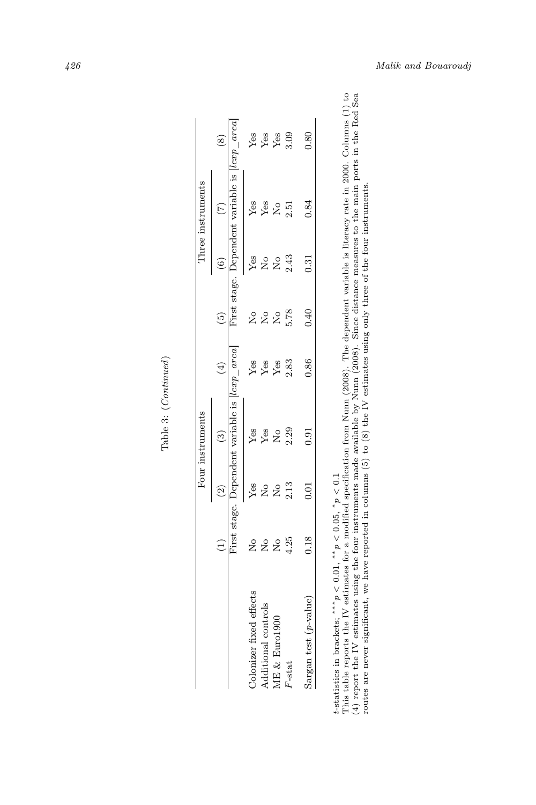|                        |               |                                                       | Four instruments                                    |                       |               |                                     | Three instruments                                   |                           |
|------------------------|---------------|-------------------------------------------------------|-----------------------------------------------------|-----------------------|---------------|-------------------------------------|-----------------------------------------------------|---------------------------|
|                        | ť             | $\sim$                                                |                                                     | $\widehat{\pm}$       | ම             |                                     |                                                     |                           |
|                        |               |                                                       | First stage. Dependent variable is <i>lexp</i> area |                       |               |                                     | First stage. Dependent variable is <i>lexp</i> area |                           |
| olonizer fixed effects | $\frac{1}{2}$ |                                                       |                                                     |                       | $\frac{1}{2}$ |                                     | Ýes                                                 |                           |
| dditional controls     | 280           |                                                       |                                                     | <b>Seger</b><br>Seger |               |                                     | Yes                                                 |                           |
| Æ & Euro1900           |               | $Yes$<br>$Xe$<br>$Xe$<br>$Xe$<br>$Xe$<br>$Xe$<br>$Xe$ | <b>Yes</b><br>Yes <sub>23</sub>                     |                       | 228           | yes<br>2233                         | $\tilde{z}$                                         | Yes<br>Yes<br>Yes<br>3.09 |
| F-stat                 | 4.25          |                                                       |                                                     | 2.83                  |               |                                     | 2.51                                                |                           |
| Sargan test (p-value)  | 0.18          | 5<br>C.C                                              | 5.<br>0.                                            | 0.86                  | 0.40          | $\begin{array}{c} 31 \ \end{array}$ | 0.84                                                | 0.80                      |

Table 3: (Continued) Table 3: (Continued)

*t*-statistics in brackets; \*\*\* $p < 0.01$ , \*\* $p < 0.05$ , \* $p < 0.1$ <br>This table reports the IV estimates for a modified specification from Num (2008). The dependent variable is literacy rate in 2000. Columns (1) to (4) report t-statistics in brackets; \*\*\*  $p < 0.01$ , \*\*  $p < 0.05$ , \*  $p < 0.1$ <br>This table reports the IV estimates for a modified specification from Num (2008). The dependent variable is literacy rate in 2000. Columns (1) to<br>This tabl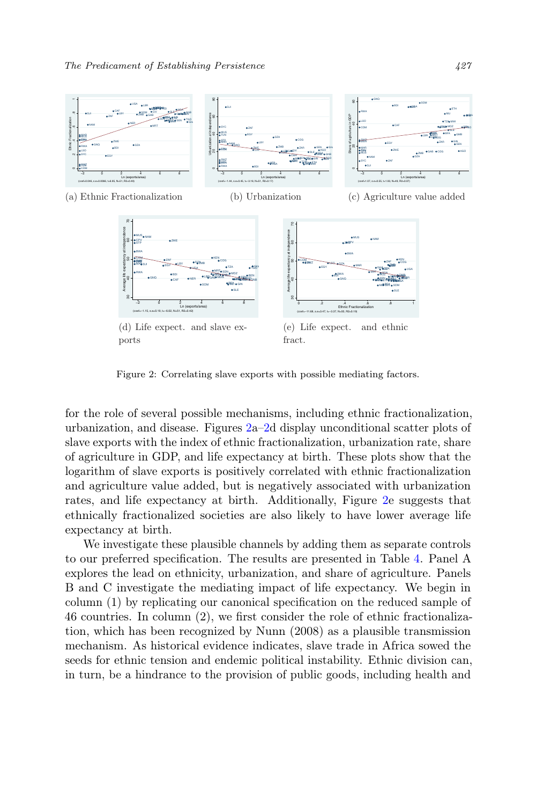

Figure 2: Correlating slave exports with possible mediating factors.

for the role of several possible mechanisms, including ethnic fractionalization, urbanization, and disease. Figures 2a–2d display unconditional scatter plots of slave exports with the index of ethnic fractionalization, urbanization rate, share of agriculture in GDP, and life expectancy at birth. These plots show that the logarithm of slave exports is positively correlated with ethnic fractionalization and agriculture value added, but is negatively associated with urbanization rates, and life expectancy at birth. Additionally, Figure 2e suggests that ethnically fractionalized societies are also likely to have lower average life expectancy at birth.

We investigate these plausible channels by adding them as separate controls to our preferred specification. The results are presented in Table 4. Panel A explores the lead on ethnicity, urbanization, and share of agriculture. Panels B and C investigate the mediating impact of life expectancy. We begin in column (1) by replicating our canonical specification on the reduced sample of 46 countries. In column (2), we first consider the role of ethnic fractionalization, which has been recognized by Nunn (2008) as a plausible transmission mechanism. As historical evidence indicates, slave trade in Africa sowed the seeds for ethnic tension and endemic political instability. Ethnic division can, in turn, be a hindrance to the provision of public goods, including health and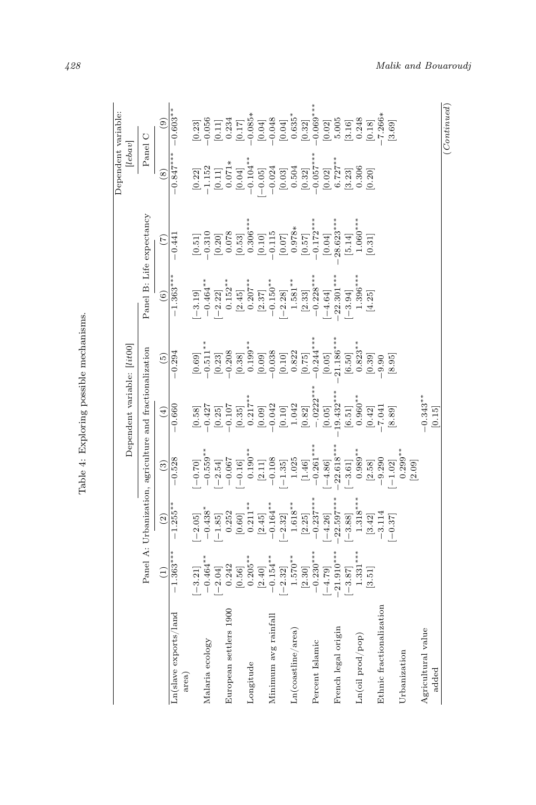| $-1.363**$<br>$[-3.21]$<br>$\left( \begin{matrix} 1 \end{matrix} \right)$<br>Ln(slave exports/land<br>area)   |                                                                                                      |                                                                             |                                                                                                                                                                                                                                                                                                                                                                                                                                                                                                                                                                                                                                  |                                                                                                                                                                                                                                                                                                            |                                                                                     |                                                                                                                                                                                                                                                                                                                                                                                                         | Dependent variable:                                                 |                                                                                                                |
|---------------------------------------------------------------------------------------------------------------|------------------------------------------------------------------------------------------------------|-----------------------------------------------------------------------------|----------------------------------------------------------------------------------------------------------------------------------------------------------------------------------------------------------------------------------------------------------------------------------------------------------------------------------------------------------------------------------------------------------------------------------------------------------------------------------------------------------------------------------------------------------------------------------------------------------------------------------|------------------------------------------------------------------------------------------------------------------------------------------------------------------------------------------------------------------------------------------------------------------------------------------------------------|-------------------------------------------------------------------------------------|---------------------------------------------------------------------------------------------------------------------------------------------------------------------------------------------------------------------------------------------------------------------------------------------------------------------------------------------------------------------------------------------------------|---------------------------------------------------------------------|----------------------------------------------------------------------------------------------------------------|
|                                                                                                               |                                                                                                      |                                                                             | Dependent variable: [lit00]                                                                                                                                                                                                                                                                                                                                                                                                                                                                                                                                                                                                      |                                                                                                                                                                                                                                                                                                            |                                                                                     |                                                                                                                                                                                                                                                                                                                                                                                                         | lebav                                                               |                                                                                                                |
|                                                                                                               | Panel A: Urbanization, agriculture and fractionalization                                             |                                                                             |                                                                                                                                                                                                                                                                                                                                                                                                                                                                                                                                                                                                                                  |                                                                                                                                                                                                                                                                                                            |                                                                                     | Panel B: Life expectancy                                                                                                                                                                                                                                                                                                                                                                                |                                                                     | Panel C                                                                                                        |
|                                                                                                               | $\begin{array}{c} (2) \\ \end{array}$                                                                | $\widehat{\mathbf{e}}$                                                      | $\bigoplus$                                                                                                                                                                                                                                                                                                                                                                                                                                                                                                                                                                                                                      | $\widetilde{5}$                                                                                                                                                                                                                                                                                            | $\circ$                                                                             | E                                                                                                                                                                                                                                                                                                                                                                                                       | $\left( 8\right)$                                                   | $\circledcirc$                                                                                                 |
|                                                                                                               | $-1.255$ <sup>*</sup>                                                                                | $-0.528$                                                                    | $-0.660$                                                                                                                                                                                                                                                                                                                                                                                                                                                                                                                                                                                                                         | $-0.294$                                                                                                                                                                                                                                                                                                   | $-1.363**$                                                                          | $-0.441$                                                                                                                                                                                                                                                                                                                                                                                                | $-0.847$ *                                                          | $-0.603**$                                                                                                     |
|                                                                                                               | $[-2.05]$                                                                                            | $[-0.70]$<br>-0.559**                                                       | [0.58]                                                                                                                                                                                                                                                                                                                                                                                                                                                                                                                                                                                                                           | $[0.69]_{1,1}^{*}\\*[0.69]_{1,1}^{*}\\*[0.69]_{1,1}^{*}\\*[0.69]_{1,1}^{*}\\*[0.69]_{1,1}^{*}\\*[0.69]_{1,1}^{*}\\*[0.69]_{1,1}^{*}\\*[0.69]_{1,1}^{*}\\*[0.69]_{1,1}^{*}\\*[0.69]_{1,1}^{*}\\*[0.69]_{1,1}^{*}\\*[0.69]_{1,1}^{*}\\*[0.69]_{1,1}^{*}\\*[0.69]_{1,1}^{*}\\*[0.69]_{1,1}^{*}\\*[0.69]_{1,1$ | $-3.19$ ]                                                                           | $\begin{array}{l} \hfill\text{[0,1]} \\\hfill\text{[0,2]} \\\hfill\text{[0,1]} \\\hfill\text{[0,2]} \\\hfill\text{[0,3]} \\\hfill\text{[0,1]} \\\hfill\text{[0,2]} \\\hfill\text{[0,3]} \\\hfill\text{[0,4]} \\\hfill\text{[0,4]} \\\hfill\text{[0,5]} \\\hfill\text{[0,6]} \\\hfill\text{[0,6]} \\\hfill\text{[0,6]} \\\hfill\text{[0,6]} \\\hfill\text{[0,6]} \\\hfill\text{[0,6]} \\\hfill\text{[0,$ | $\begin{array}{c} [0.22] \\ -1.152 \\ [0.11] \\ 0.071* \end{array}$ |                                                                                                                |
| $-0.464**$<br>$[-2.04]$<br>Malaria ecology                                                                    | $\begin{array}{c} -0.438^{*} \\ [-1.85] \end{array}$                                                 | $[-2.54]$                                                                   | $-0.427$<br>$\left[0.25\right]$                                                                                                                                                                                                                                                                                                                                                                                                                                                                                                                                                                                                  |                                                                                                                                                                                                                                                                                                            | $\begin{bmatrix} -0.464^{**} \\[-2.22] \\0.152^{**} \end{bmatrix}$                  |                                                                                                                                                                                                                                                                                                                                                                                                         |                                                                     | $\begin{bmatrix} 0.23 \\ -0.056 \\ 0.11 \\ 0.234 \\ 0.035 \\ 0.004 \\ -0.085 \\ -0.04 \\ -0.048 \end{bmatrix}$ |
| 0.242<br>European settlers 1900                                                                               |                                                                                                      | $-0.067$                                                                    | $-0.107$                                                                                                                                                                                                                                                                                                                                                                                                                                                                                                                                                                                                                         |                                                                                                                                                                                                                                                                                                            |                                                                                     |                                                                                                                                                                                                                                                                                                                                                                                                         |                                                                     |                                                                                                                |
| $\left[0.56\right]$                                                                                           |                                                                                                      | $[-0.16]$                                                                   | $\begin{bmatrix} 0.35 \\ 0.217^{**} \\ 0.09 \end{bmatrix}$                                                                                                                                                                                                                                                                                                                                                                                                                                                                                                                                                                       |                                                                                                                                                                                                                                                                                                            |                                                                                     |                                                                                                                                                                                                                                                                                                                                                                                                         | $\begin{bmatrix} 0.04 \\ -0.104^{**} \end{bmatrix}$                 |                                                                                                                |
| $0.205***$<br>Longitude                                                                                       |                                                                                                      | $0.190***$                                                                  |                                                                                                                                                                                                                                                                                                                                                                                                                                                                                                                                                                                                                                  |                                                                                                                                                                                                                                                                                                            |                                                                                     |                                                                                                                                                                                                                                                                                                                                                                                                         |                                                                     |                                                                                                                |
| $\left[ 2.40\right]$                                                                                          | $\begin{bmatrix} 0.252 \\ 0.60 \\ 0.211^{**} \\ 2.45 \\ -0.164^{**} \end{bmatrix}$                   |                                                                             |                                                                                                                                                                                                                                                                                                                                                                                                                                                                                                                                                                                                                                  |                                                                                                                                                                                                                                                                                                            | $\begin{bmatrix} 2.45 \\ 0.207^{**} \\ 2.37 \\ -0.150^{**} \end{bmatrix}$           |                                                                                                                                                                                                                                                                                                                                                                                                         | $[-0.05]$<br>-0.024                                                 |                                                                                                                |
| $-0.154**$<br>Minimum avg rainfall                                                                            |                                                                                                      |                                                                             |                                                                                                                                                                                                                                                                                                                                                                                                                                                                                                                                                                                                                                  |                                                                                                                                                                                                                                                                                                            |                                                                                     |                                                                                                                                                                                                                                                                                                                                                                                                         |                                                                     |                                                                                                                |
| $\begin{bmatrix} -2.32 \\ 1.570^{**} \\ [2.30] \\ -0.230^{***} \\ [-4.79] \end{bmatrix}$<br>Ln(costline/area) | $\begin{bmatrix} -2.32 \\ 1.618^{**} \\ 2.25 \\ -0.237^{***} \\ -4.26 \\ -2.359^{***} \end{bmatrix}$ | $\begin{bmatrix} 2.11 \\ -0.108 \\ -1.35 \\ 1.025 \\ 1.46 \\ \end{bmatrix}$ | $\begin{bmatrix} -0.042 \\ [0.10] \\ 1.042 \\ [0.82] \\ -0.0222^* \end{bmatrix}$                                                                                                                                                                                                                                                                                                                                                                                                                                                                                                                                                 |                                                                                                                                                                                                                                                                                                            | $\begin{bmatrix} -2.28 \\ 1.581^{**} \\ 2.33 \\ -0.228^{**} \\ -4.64 \end{bmatrix}$ |                                                                                                                                                                                                                                                                                                                                                                                                         | $\begin{bmatrix} 0.03 \\ 0.504 \end{bmatrix}$                       | $\begin{matrix} [0.04] \\ 0.635^{*} \\ [0.32] \\ -0.069^{**} \end{matrix}$                                     |
|                                                                                                               |                                                                                                      |                                                                             |                                                                                                                                                                                                                                                                                                                                                                                                                                                                                                                                                                                                                                  |                                                                                                                                                                                                                                                                                                            |                                                                                     |                                                                                                                                                                                                                                                                                                                                                                                                         | $[0.32]$<br>-0.057*                                                 |                                                                                                                |
| Percent Islamic                                                                                               |                                                                                                      |                                                                             |                                                                                                                                                                                                                                                                                                                                                                                                                                                                                                                                                                                                                                  |                                                                                                                                                                                                                                                                                                            |                                                                                     |                                                                                                                                                                                                                                                                                                                                                                                                         |                                                                     |                                                                                                                |
|                                                                                                               |                                                                                                      | $\begin{bmatrix} -4.86 \\ -22.618 {^{\ast\ast\ast}} \end{bmatrix}$          | [0.05]                                                                                                                                                                                                                                                                                                                                                                                                                                                                                                                                                                                                                           |                                                                                                                                                                                                                                                                                                            |                                                                                     | $[0.04]$<br>28.623***                                                                                                                                                                                                                                                                                                                                                                                   | $[0.02]$<br>6.727**                                                 | $\begin{bmatrix} 0.02 \\ 5.005 \end{bmatrix}$                                                                  |
| $21.910***$<br>$[-3.87]$<br>French legal origin                                                               | $[-3.88]$                                                                                            | $\left[-3.61\right]$                                                        | $19.432***$                                                                                                                                                                                                                                                                                                                                                                                                                                                                                                                                                                                                                      |                                                                                                                                                                                                                                                                                                            | $22.301***$<br>$[-3.94]$                                                            |                                                                                                                                                                                                                                                                                                                                                                                                         |                                                                     |                                                                                                                |
| Ln(oil prod/pop)                                                                                              | $1.318**$                                                                                            | $0.989**$                                                                   | $\left[ 6.51\right] 0.960***$                                                                                                                                                                                                                                                                                                                                                                                                                                                                                                                                                                                                    | $\begin{bmatrix} 6.50 \\ 0.823^{**} \end{bmatrix}$                                                                                                                                                                                                                                                         |                                                                                     | $\begin{bmatrix} 5.14 \\ 1.060*** \end{bmatrix}$                                                                                                                                                                                                                                                                                                                                                        | ${\begin{bmatrix} 3.23 \\ 0.306 \end{bmatrix}}$                     |                                                                                                                |
| $1.331***$<br>[3.51]                                                                                          | $\begin{bmatrix} 3.42 \\ -3.114 \end{bmatrix}$                                                       | $\begin{bmatrix} 2.58 \\ -9.290 \end{bmatrix}$                              | [0.42]                                                                                                                                                                                                                                                                                                                                                                                                                                                                                                                                                                                                                           | [0.39]                                                                                                                                                                                                                                                                                                     | $1.396***$<br>[4.25]                                                                | [0.31]                                                                                                                                                                                                                                                                                                                                                                                                  | [0.20]                                                              | $\begin{bmatrix} 3.16 \\ 0.248 \\ 0.18 \\ -7.266* \end{bmatrix}$                                               |
| Ethnic fractionalization                                                                                      |                                                                                                      |                                                                             |                                                                                                                                                                                                                                                                                                                                                                                                                                                                                                                                                                                                                                  | 0.9.                                                                                                                                                                                                                                                                                                       |                                                                                     |                                                                                                                                                                                                                                                                                                                                                                                                         |                                                                     |                                                                                                                |
|                                                                                                               | $-0.37$ ]                                                                                            | $[-1.02]$                                                                   | [8.89]                                                                                                                                                                                                                                                                                                                                                                                                                                                                                                                                                                                                                           | [8.95]                                                                                                                                                                                                                                                                                                     |                                                                                     |                                                                                                                                                                                                                                                                                                                                                                                                         |                                                                     | [3.69]                                                                                                         |
| Urbanization                                                                                                  |                                                                                                      | $0.299***$                                                                  |                                                                                                                                                                                                                                                                                                                                                                                                                                                                                                                                                                                                                                  |                                                                                                                                                                                                                                                                                                            |                                                                                     |                                                                                                                                                                                                                                                                                                                                                                                                         |                                                                     |                                                                                                                |
|                                                                                                               |                                                                                                      | [2.09]                                                                      |                                                                                                                                                                                                                                                                                                                                                                                                                                                                                                                                                                                                                                  |                                                                                                                                                                                                                                                                                                            |                                                                                     |                                                                                                                                                                                                                                                                                                                                                                                                         |                                                                     |                                                                                                                |
| Agricultural value                                                                                            |                                                                                                      |                                                                             | $-0.343**$                                                                                                                                                                                                                                                                                                                                                                                                                                                                                                                                                                                                                       |                                                                                                                                                                                                                                                                                                            |                                                                                     |                                                                                                                                                                                                                                                                                                                                                                                                         |                                                                     |                                                                                                                |
| added                                                                                                         |                                                                                                      |                                                                             | $[0.15] \centering% \includegraphics[width=1.8\columnwidth]{figures/fig_1_1.pdf} \includegraphics[width=1.8\columnwidth]{figures/fig_1_2.pdf} \includegraphics[width=1.8\columnwidth]{figures/fig_1_2.pdf} \includegraphics[width=1.8\columnwidth]{figures/fig_1_2.pdf} \includegraphics[width=1.8\columnwidth]{figures/fig_1_2.pdf} \includegraphics[width=1.8\columnwidth]{figures/fig_1_2.pdf} \includegraphics[width=1.8\columnwidth]{figures/fig_1_2.pdf} \includegraphics[width=1.8\columnwidth]{figures/fig_1_2.pdf} \includegraphics[width=1.8\columnwidth]{figures/fig_1_2.pdf} \includegraphics[width=1.8\columnwidth$ |                                                                                                                                                                                                                                                                                                            |                                                                                     |                                                                                                                                                                                                                                                                                                                                                                                                         |                                                                     |                                                                                                                |

Table 4: Exploring possible mechanisms.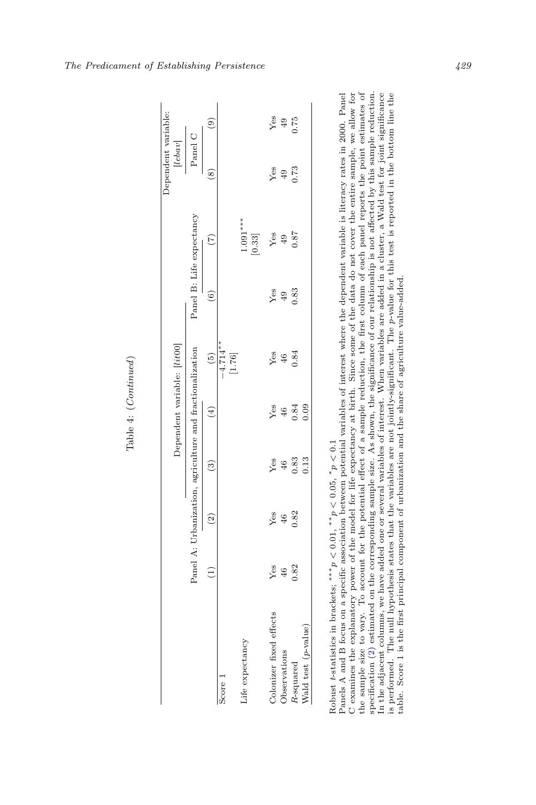|                         |        |                                                          |                | Dependent variable: [lit00] |                      |      |                                   | Dependent variable:                                              |                |
|-------------------------|--------|----------------------------------------------------------|----------------|-----------------------------|----------------------|------|-----------------------------------|------------------------------------------------------------------|----------------|
|                         |        | Panel A: Urbanization, agriculture and fractionalization |                |                             |                      |      | Panel B: Life expectancy          | $\begin{array}{c c} \text{[lebav]}\\ \text{Pauli C} \end{array}$ |                |
|                         | Ξ      | $\left( 2\right)$                                        | $\binom{3}{2}$ | $\left( 4\right)$           | $\left(5\right)$     | (6)  | $\widetilde{(\tau)}$              | $\circ$                                                          | $\circledcirc$ |
| Score:                  |        |                                                          |                |                             | $-4.714**$<br>[1.76] |      |                                   |                                                                  |                |
| Life expectancy         |        |                                                          |                |                             |                      |      | $1.091***$<br>$\left[0.33\right]$ |                                                                  |                |
| Colonizer fixed effects | $Y$ es | Yes                                                      | Yes            | Yes                         | Yes                  | Yes  | Yes                               | Yes                                                              | $Y$ es         |
| Observations            | $46$   | 46                                                       | 46             | 46                          | 46                   | 49   | 49                                | 67.0                                                             | $49$<br>0.75   |
| R-squared               | 0.82   | 0.82                                                     | 0.83           | 0.84                        | 0.84                 | 0.83 | 0.87                              |                                                                  |                |
| Wald test (p-value)     |        |                                                          | 0.13           | 0.09                        |                      |      |                                   |                                                                  |                |

Table 4: (Continued)

Robust t-statistics in brackets; \*\*\* $p \lt 0.01$ , \* $p \lt 0.05$ , \* $p \lt 0.1$  variables of interest where the dependent variable is literacy rates in 2000. Panel<br>Panels A and B focus on a specific association between potential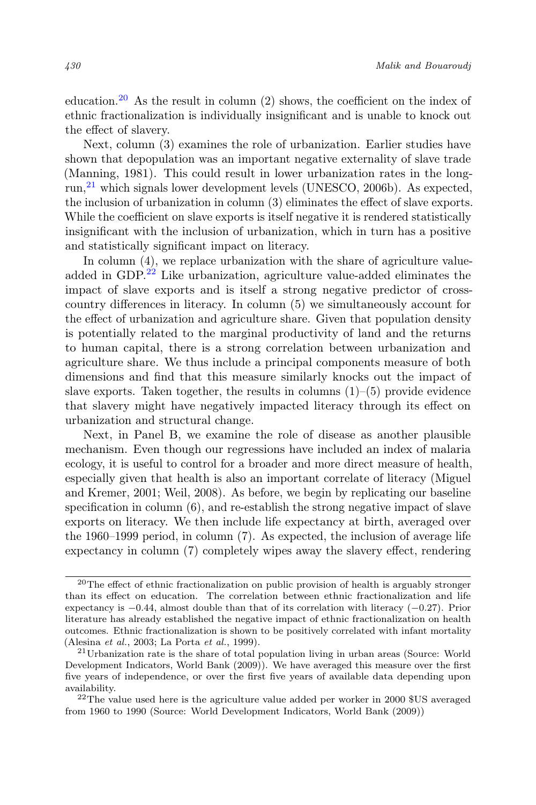education.<sup>20</sup> As the result in column (2) shows, the coefficient on the index of ethnic fractionalization is individually insignificant and is unable to knock out the effect of slavery.

Next, column (3) examines the role of urbanization. Earlier studies have shown that depopulation was an important negative externality of slave trade (Manning, 1981). This could result in lower urbanization rates in the longrun,<sup>21</sup> which signals lower development levels (UNESCO, 2006b). As expected, the inclusion of urbanization in column (3) eliminates the effect of slave exports. While the coefficient on slave exports is itself negative it is rendered statistically insignificant with the inclusion of urbanization, which in turn has a positive and statistically significant impact on literacy.

In column  $(4)$ , we replace urbanization with the share of agriculture valueadded in GDP.<sup>22</sup> Like urbanization, agriculture value-added eliminates the impact of slave exports and is itself a strong negative predictor of crosscountry differences in literacy. In column (5) we simultaneously account for the effect of urbanization and agriculture share. Given that population density is potentially related to the marginal productivity of land and the returns to human capital, there is a strong correlation between urbanization and agriculture share. We thus include a principal components measure of both dimensions and find that this measure similarly knocks out the impact of slave exports. Taken together, the results in columns  $(1)$ – $(5)$  provide evidence that slavery might have negatively impacted literacy through its effect on urbanization and structural change.

Next, in Panel B, we examine the role of disease as another plausible mechanism. Even though our regressions have included an index of malaria ecology, it is useful to control for a broader and more direct measure of health, especially given that health is also an important correlate of literacy (Miguel and Kremer, 2001; Weil, 2008). As before, we begin by replicating our baseline specification in column (6), and re-establish the strong negative impact of slave exports on literacy. We then include life expectancy at birth, averaged over the 1960–1999 period, in column (7). As expected, the inclusion of average life expectancy in column (7) completely wipes away the slavery effect, rendering

<sup>20</sup>The effect of ethnic fractionalization on public provision of health is arguably stronger than its effect on education. The correlation between ethnic fractionalization and life expectancy is  $-0.44$ , almost double than that of its correlation with literacy  $(-0.27)$ . Prior literature has already established the negative impact of ethnic fractionalization on health outcomes. Ethnic fractionalization is shown to be positively correlated with infant mortality (Alesina et al., 2003; La Porta et al., 1999).

<sup>21</sup>Urbanization rate is the share of total population living in urban areas (Source: World Development Indicators, World Bank (2009)). We have averaged this measure over the first five years of independence, or over the first five years of available data depending upon availability.

<sup>&</sup>lt;sup>22</sup>The value used here is the agriculture value added per worker in 2000 \$US averaged from 1960 to 1990 (Source: World Development Indicators, World Bank (2009))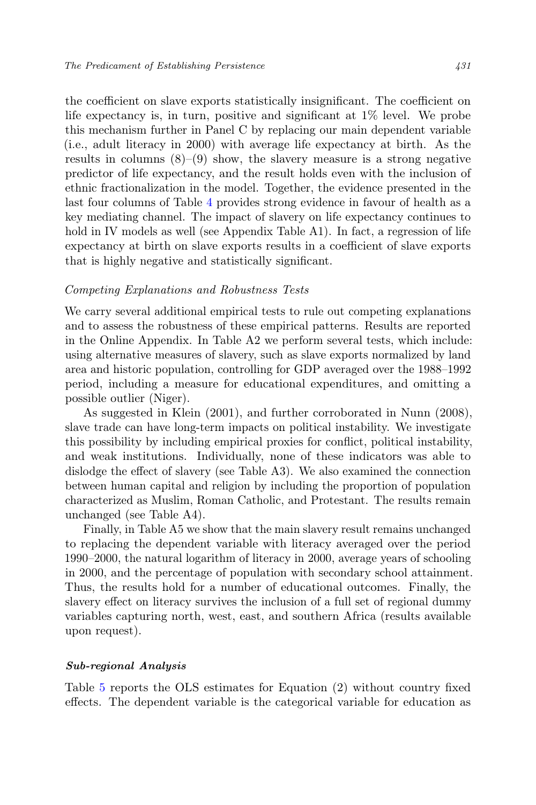the coefficient on slave exports statistically insignificant. The coefficient on life expectancy is, in turn, positive and significant at 1% level. We probe this mechanism further in Panel C by replacing our main dependent variable (i.e., adult literacy in 2000) with average life expectancy at birth. As the results in columns  $(8)$ – $(9)$  show, the slavery measure is a strong negative predictor of life expectancy, and the result holds even with the inclusion of ethnic fractionalization in the model. Together, the evidence presented in the last four columns of Table 4 provides strong evidence in favour of health as a key mediating channel. The impact of slavery on life expectancy continues to hold in IV models as well (see Appendix Table A1). In fact, a regression of life expectancy at birth on slave exports results in a coefficient of slave exports that is highly negative and statistically significant.

#### Competing Explanations and Robustness Tests

We carry several additional empirical tests to rule out competing explanations and to assess the robustness of these empirical patterns. Results are reported in the Online Appendix. In Table A2 we perform several tests, which include: using alternative measures of slavery, such as slave exports normalized by land area and historic population, controlling for GDP averaged over the 1988–1992 period, including a measure for educational expenditures, and omitting a possible outlier (Niger).

As suggested in Klein (2001), and further corroborated in Nunn (2008), slave trade can have long-term impacts on political instability. We investigate this possibility by including empirical proxies for conflict, political instability, and weak institutions. Individually, none of these indicators was able to dislodge the effect of slavery (see Table A3). We also examined the connection between human capital and religion by including the proportion of population characterized as Muslim, Roman Catholic, and Protestant. The results remain unchanged (see Table A4).

Finally, in Table A5 we show that the main slavery result remains unchanged to replacing the dependent variable with literacy averaged over the period 1990–2000, the natural logarithm of literacy in 2000, average years of schooling in 2000, and the percentage of population with secondary school attainment. Thus, the results hold for a number of educational outcomes. Finally, the slavery effect on literacy survives the inclusion of a full set of regional dummy variables capturing north, west, east, and southern Africa (results available upon request).

#### Sub-regional Analysis

Table 5 reports the OLS estimates for Equation (2) without country fixed effects. The dependent variable is the categorical variable for education as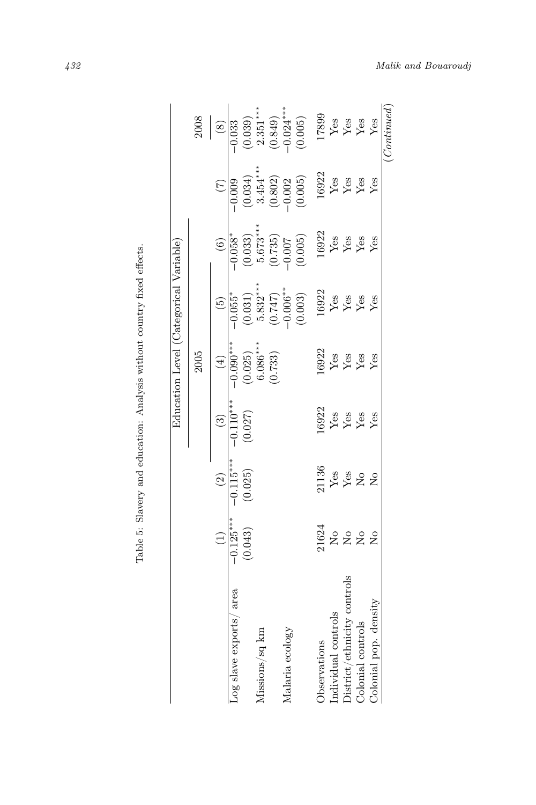| $(0.849)$<br>-0.024***<br>$\frac{17899}{Yes}$<br>Yes Yes<br>(0.039)<br>(0.005)<br>2008<br>Yes<br>$-0.033$<br>$\circled{s}$<br>$3.454***$<br>16922<br>(0.034)<br>$\begin{array}{c} (0.802) \\ -0.002 \\ (0.005) \end{array}$<br>$Y_{BS}$<br>$Y_{BS}$<br>$Y_{BS}$<br>$-0.\overline{009}$<br>$5.673***$<br>$\begin{array}{c} 16922 \\ \text{Yes} \\ \text{Yes} \\ \text{Yes} \\ \text{Yes} \\ \text{Yes} \end{array}$<br>$-0.058*$<br>(0.033)<br>$\begin{array}{c} (0.735) \\ -0.007 \\ \end{array}$<br>$\widehat{6}$<br>$5.832***$<br>$(0.747)$<br>-0.006**<br>$\frac{16922}{Y$ es<br>$\frac{1692}{Y}$ es<br>$\frac{1692}{Y}$ es<br>(0.031)<br>(0.003)<br>$-0.055$ <sup>*</sup><br>G<br>$6.086***$<br>$-0.090***$<br>16922<br>(0.025)<br>(0.733)<br>2005<br>Yes<br>Yes<br>Yes<br>Yes<br>$\left( \pm \right)$<br>$-0.110***$<br>16922<br>(0.027)<br>$\frac{Y}{X}$ es<br>$\frac{Y}{X}$ es<br>$\widehat{\mathbb{E}}$<br>$-0.115***$<br>$\begin{array}{l} 21136 \\ \text{Yes} \\ \text{Yes} \\ \text{No} \\ \text{No} \\ \text{No} \end{array}$<br>(0.025)<br>$\odot$<br>$-0.125***$<br>21624<br>(0.043)<br>2222<br>$\widehat{\Xi}$<br>District/ethnicity controls<br>area<br>Colonial pop. density<br>Individual controls<br>Log slave exports/<br>Colonial controls<br>Missions/sq km<br>Malaria ecology<br>Observations |  |  | Education Level (Categorical Variable) |  |            |
|----------------------------------------------------------------------------------------------------------------------------------------------------------------------------------------------------------------------------------------------------------------------------------------------------------------------------------------------------------------------------------------------------------------------------------------------------------------------------------------------------------------------------------------------------------------------------------------------------------------------------------------------------------------------------------------------------------------------------------------------------------------------------------------------------------------------------------------------------------------------------------------------------------------------------------------------------------------------------------------------------------------------------------------------------------------------------------------------------------------------------------------------------------------------------------------------------------------------------------------------------------------------------------------------------------------------|--|--|----------------------------------------|--|------------|
|                                                                                                                                                                                                                                                                                                                                                                                                                                                                                                                                                                                                                                                                                                                                                                                                                                                                                                                                                                                                                                                                                                                                                                                                                                                                                                                      |  |  |                                        |  |            |
|                                                                                                                                                                                                                                                                                                                                                                                                                                                                                                                                                                                                                                                                                                                                                                                                                                                                                                                                                                                                                                                                                                                                                                                                                                                                                                                      |  |  |                                        |  |            |
|                                                                                                                                                                                                                                                                                                                                                                                                                                                                                                                                                                                                                                                                                                                                                                                                                                                                                                                                                                                                                                                                                                                                                                                                                                                                                                                      |  |  |                                        |  |            |
|                                                                                                                                                                                                                                                                                                                                                                                                                                                                                                                                                                                                                                                                                                                                                                                                                                                                                                                                                                                                                                                                                                                                                                                                                                                                                                                      |  |  |                                        |  |            |
|                                                                                                                                                                                                                                                                                                                                                                                                                                                                                                                                                                                                                                                                                                                                                                                                                                                                                                                                                                                                                                                                                                                                                                                                                                                                                                                      |  |  |                                        |  | $2.351***$ |
|                                                                                                                                                                                                                                                                                                                                                                                                                                                                                                                                                                                                                                                                                                                                                                                                                                                                                                                                                                                                                                                                                                                                                                                                                                                                                                                      |  |  |                                        |  |            |
|                                                                                                                                                                                                                                                                                                                                                                                                                                                                                                                                                                                                                                                                                                                                                                                                                                                                                                                                                                                                                                                                                                                                                                                                                                                                                                                      |  |  |                                        |  |            |
|                                                                                                                                                                                                                                                                                                                                                                                                                                                                                                                                                                                                                                                                                                                                                                                                                                                                                                                                                                                                                                                                                                                                                                                                                                                                                                                      |  |  |                                        |  |            |
|                                                                                                                                                                                                                                                                                                                                                                                                                                                                                                                                                                                                                                                                                                                                                                                                                                                                                                                                                                                                                                                                                                                                                                                                                                                                                                                      |  |  |                                        |  |            |
|                                                                                                                                                                                                                                                                                                                                                                                                                                                                                                                                                                                                                                                                                                                                                                                                                                                                                                                                                                                                                                                                                                                                                                                                                                                                                                                      |  |  |                                        |  |            |
|                                                                                                                                                                                                                                                                                                                                                                                                                                                                                                                                                                                                                                                                                                                                                                                                                                                                                                                                                                                                                                                                                                                                                                                                                                                                                                                      |  |  |                                        |  |            |
|                                                                                                                                                                                                                                                                                                                                                                                                                                                                                                                                                                                                                                                                                                                                                                                                                                                                                                                                                                                                                                                                                                                                                                                                                                                                                                                      |  |  |                                        |  |            |
|                                                                                                                                                                                                                                                                                                                                                                                                                                                                                                                                                                                                                                                                                                                                                                                                                                                                                                                                                                                                                                                                                                                                                                                                                                                                                                                      |  |  |                                        |  |            |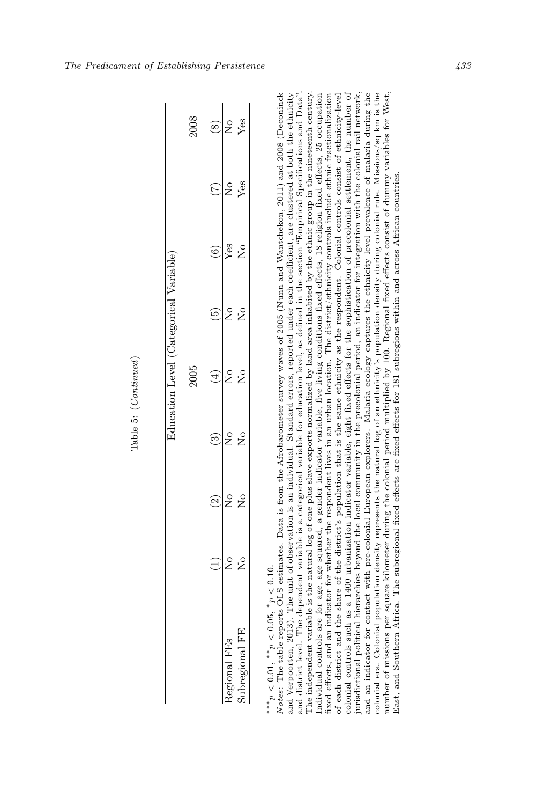|                |                  |                    |   |             | Education Level (Categorical Variable) |             |     |      |
|----------------|------------------|--------------------|---|-------------|----------------------------------------|-------------|-----|------|
|                |                  |                    |   | 2005        |                                        |             |     | 2008 |
|                |                  | $\widehat{\Omega}$ |   |             | ŗ.                                     |             |     |      |
| Regional FEs   | $\frac{1}{2}$    | $\mathring{\Xi}$   | Ş | ş           | ş                                      | Yes         | ş   | ş    |
| Subregional FE | $\frac{c}{\sum}$ | $\frac{1}{2}$      | ž | $\tilde{z}$ | $\frac{c}{\epsilon}$                   | $\tilde{z}$ | Ýes | Ýes  |

Regional FEs<br>
Nogleonal FEs<br>
Nogleonal FEs<br>
Nogleonal FEs<br>
Nogleonal FEs<br>
Nogleonal FEs<br>
Nogleonal FEs<br>
Nogleonal FEs<br>
Nogleonal FEs<br>
Notes: The tech and the stream windble is a categorical variable for education level, a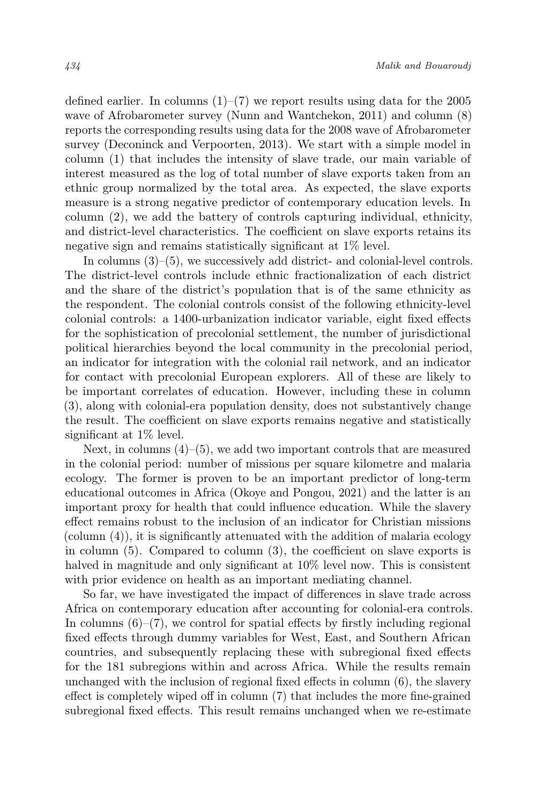defined earlier. In columns  $(1)$ – $(7)$  we report results using data for the 2005 wave of Afrobarometer survey (Nunn and Wantchekon, 2011) and column (8) reports the corresponding results using data for the 2008 wave of Afrobarometer survey (Deconinck and Verpoorten, 2013). We start with a simple model in column (1) that includes the intensity of slave trade, our main variable of interest measured as the log of total number of slave exports taken from an ethnic group normalized by the total area. As expected, the slave exports measure is a strong negative predictor of contemporary education levels. In column (2), we add the battery of controls capturing individual, ethnicity, and district-level characteristics. The coefficient on slave exports retains its negative sign and remains statistically significant at 1% level.

In columns  $(3)$ – $(5)$ , we successively add district- and colonial-level controls. The district-level controls include ethnic fractionalization of each district and the share of the district's population that is of the same ethnicity as the respondent. The colonial controls consist of the following ethnicity-level colonial controls: a 1400-urbanization indicator variable, eight fixed effects for the sophistication of precolonial settlement, the number of jurisdictional political hierarchies beyond the local community in the precolonial period, an indicator for integration with the colonial rail network, and an indicator for contact with precolonial European explorers. All of these are likely to be important correlates of education. However, including these in column (3), along with colonial-era population density, does not substantively change the result. The coefficient on slave exports remains negative and statistically significant at 1% level.

Next, in columns  $(4)$ – $(5)$ , we add two important controls that are measured in the colonial period: number of missions per square kilometre and malaria ecology. The former is proven to be an important predictor of long-term educational outcomes in Africa (Okoye and Pongou, 2021) and the latter is an important proxy for health that could influence education. While the slavery effect remains robust to the inclusion of an indicator for Christian missions  $\alpha$  (column  $(4)$ ), it is significantly attenuated with the addition of malaria ecology in column (5). Compared to column (3), the coefficient on slave exports is halved in magnitude and only significant at  $10\%$  level now. This is consistent with prior evidence on health as an important mediating channel.

So far, we have investigated the impact of differences in slave trade across Africa on contemporary education after accounting for colonial-era controls. In columns  $(6)$ – $(7)$ , we control for spatial effects by firstly including regional fixed effects through dummy variables for West, East, and Southern African countries, and subsequently replacing these with subregional fixed effects for the 181 subregions within and across Africa. While the results remain unchanged with the inclusion of regional fixed effects in column (6), the slavery effect is completely wiped off in column (7) that includes the more fine-grained subregional fixed effects. This result remains unchanged when we re-estimate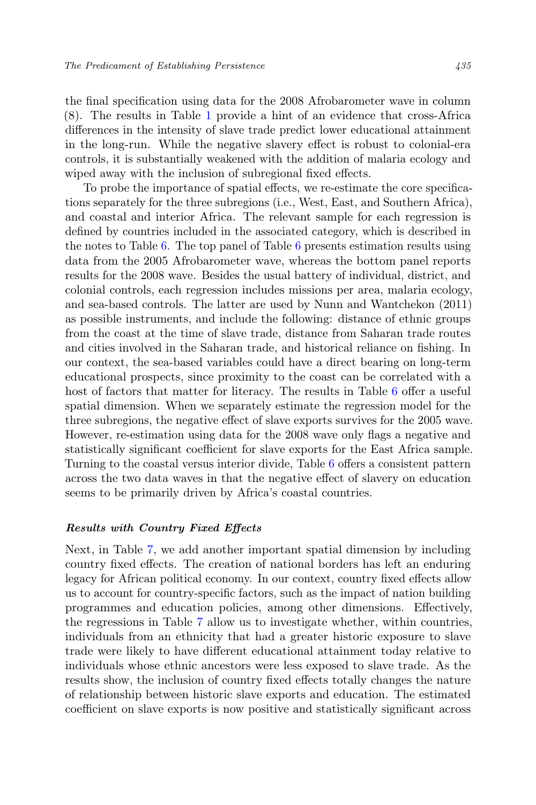the final specification using data for the 2008 Afrobarometer wave in column (8). The results in Table 1 provide a hint of an evidence that cross-Africa differences in the intensity of slave trade predict lower educational attainment in the long-run. While the negative slavery effect is robust to colonial-era controls, it is substantially weakened with the addition of malaria ecology and wiped away with the inclusion of subregional fixed effects.

To probe the importance of spatial effects, we re-estimate the core specifications separately for the three subregions (i.e., West, East, and Southern Africa), and coastal and interior Africa. The relevant sample for each regression is defined by countries included in the associated category, which is described in the notes to Table 6. The top panel of Table 6 presents estimation results using data from the 2005 Afrobarometer wave, whereas the bottom panel reports results for the 2008 wave. Besides the usual battery of individual, district, and colonial controls, each regression includes missions per area, malaria ecology, and sea-based controls. The latter are used by Nunn and Wantchekon (2011) as possible instruments, and include the following: distance of ethnic groups from the coast at the time of slave trade, distance from Saharan trade routes and cities involved in the Saharan trade, and historical reliance on fishing. In our context, the sea-based variables could have a direct bearing on long-term educational prospects, since proximity to the coast can be correlated with a host of factors that matter for literacy. The results in Table 6 offer a useful spatial dimension. When we separately estimate the regression model for the three subregions, the negative effect of slave exports survives for the 2005 wave. However, re-estimation using data for the 2008 wave only flags a negative and statistically significant coefficient for slave exports for the East Africa sample. Turning to the coastal versus interior divide, Table 6 offers a consistent pattern across the two data waves in that the negative effect of slavery on education seems to be primarily driven by Africa's coastal countries.

#### Results with Country Fixed Effects

Next, in Table 7, we add another important spatial dimension by including country fixed effects. The creation of national borders has left an enduring legacy for African political economy. In our context, country fixed effects allow us to account for country-specific factors, such as the impact of nation building programmes and education policies, among other dimensions. Effectively, the regressions in Table 7 allow us to investigate whether, within countries, individuals from an ethnicity that had a greater historic exposure to slave trade were likely to have different educational attainment today relative to individuals whose ethnic ancestors were less exposed to slave trade. As the results show, the inclusion of country fixed effects totally changes the nature of relationship between historic slave exports and education. The estimated coefficient on slave exports is now positive and statistically significant across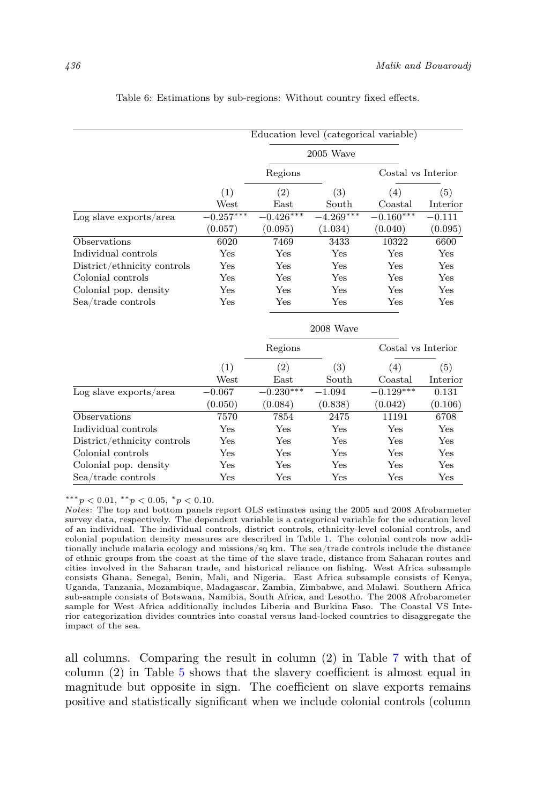|                             |             | Education level (categorical variable) |              |                    |          |
|-----------------------------|-------------|----------------------------------------|--------------|--------------------|----------|
|                             |             |                                        |              |                    |          |
|                             |             |                                        | $2005$ Wave  |                    |          |
|                             |             | Regions                                |              | Costal vs Interior |          |
|                             | (1)         | (2)                                    | (3)          | (4)                | (5)      |
|                             | West        | East                                   | South        | Coastal            | Interior |
| $Log$ slave exports/area    | $-0.257***$ | $-0.426***$                            | $-4.269***$  | $-0.160***$        | $-0.111$ |
|                             | (0.057)     | (0.095)                                | (1.034)      | (0.040)            | (0.095)  |
| Observations                | 6020        | 7469                                   | 3433         | 10322              | 6600     |
| Individual controls         | Yes         | Yes                                    | Yes          | Yes                | Yes      |
| District/ethnicity controls | Yes         | Yes                                    | Yes          | Yes                | Yes      |
| Colonial controls           | Yes         | Yes                                    | Yes          | Yes                | Yes      |
| Colonial pop. density       | Yes         | Yes                                    | Yes          | Yes                | Yes      |
| Sea/trade controls          | Yes         | Yes                                    | $_{\rm Yes}$ | Yes                | Yes      |
|                             |             |                                        | 2008 Wave    |                    |          |
|                             |             | Regions                                |              | Costal vs Interior |          |
|                             | (1)         | (2)                                    | (3)          | (4)                | (5)      |
|                             | West        | East                                   | South        | Coastal            | Interior |
| $Log$ slave exports/area    | $-0.067$    | $-0.230***$                            | $-1.094$     | $-0.129***$        | 0.131    |
|                             | (0.050)     | (0.084)                                | (0.838)      | (0.042)            | (0.106)  |
| Observations                | 7570        | 7854                                   | 2475         | 11191              | 6708     |
| Individual controls         | Yes         | Yes                                    | Yes          | Yes                | Yes      |
| District/ethnicity controls | Yes         | Yes                                    | $_{\rm Yes}$ | Yes                | Yes      |
| Colonial controls           | Yes         | Yes                                    | Yes          | Yes                | Yes      |
| Colonial pop. density       | Yes         | Yes                                    | $_{\rm Yes}$ | Yes                | Yes      |
| Sea/trade controls          | Yes         | Yes                                    | Yes          | Yes                | Yes      |

#### Table 6: Estimations by sub-regions: Without country fixed effects.

\*\*\* $p < 0.01,$ \*\* $p < 0.05,$ \* $p < 0.10$ .

Notes: The top and bottom panels report OLS estimates using the 2005 and 2008 Afrobarmeter survey data, respectively. The dependent variable is a categorical variable for the education level of an individual. The individual controls, district controls, ethnicity-level colonial controls, and colonial population density measures are described in Table 1. The colonial controls now additionally include malaria ecology and missions/sq km. The sea/trade controls include the distance of ethnic groups from the coast at the time of the slave trade, distance from Saharan routes and cities involved in the Saharan trade, and historical reliance on fishing. West Africa subsample consists Ghana, Senegal, Benin, Mali, and Nigeria. East Africa subsample consists of Kenya, Uganda, Tanzania, Mozambique, Madagascar, Zambia, Zimbabwe, and Malawi. Southern Africa sub-sample consists of Botswana, Namibia, South Africa, and Lesotho. The 2008 Afrobarometer sample for West Africa additionally includes Liberia and Burkina Faso. The Coastal VS Interior categorization divides countries into coastal versus land-locked countries to disaggregate the impact of the sea.

all columns. Comparing the result in column (2) in Table 7 with that of column (2) in Table 5 shows that the slavery coefficient is almost equal in magnitude but opposite in sign. The coefficient on slave exports remains positive and statistically significant when we include colonial controls (column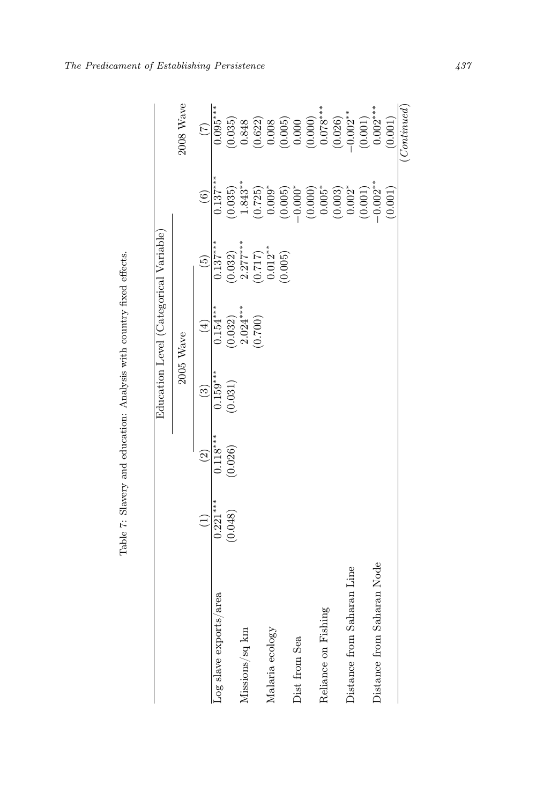| $\begin{array}{c} (0.622) \\ 0.008 \\ 0.005 \\ (0.005) \\ 0.000 \\ (0.000) \\ 0.078^{***} \end{array}$<br>$(0.001)$<br>0.002***<br>$(0.026)$<br>-0.002**<br>$\begin{array}{c} (0.035) \\ 0.848 \end{array}$<br>(0.001)<br>(7)<br>$0.137***$<br>$1.843**$<br>$-0.002**$<br>$(0.003)$<br>0.002*<br>$(0.725)$<br>$0.009*$<br>$-0.000^*$<br>$(0.000)$<br>0.005*<br>(0.001)<br>(0.035)<br>(0.005)<br>(0.001)<br>$\widehat{6}$<br>$0.137***$<br>$\begin{array}{c} 2.277***\\ (0.717)\\ (0.012** \end{array}$<br>(0.032)<br>(0.005)<br><u>ලි</u><br>$2.024***$<br>$0.154***$<br>(0.032)<br>(0.700)<br>$\left( \frac{1}{2} \right)$<br>2005 Wave<br>$0.159***$<br>(0.031)<br>ව<br>$0.118***$<br>(0.026)<br>$\widehat{c}$<br>$0.221***$<br>(0.048)<br>Ξ<br>Distance from Saharan Node<br>Distance from Saharan Line<br>Log slave exports/area<br>Reliance on Fishing<br>Missions/sq km<br>Malaria ecology<br>Dist from Sea |  |  | Education Level (Categorical Variable) |  |            |
|-------------------------------------------------------------------------------------------------------------------------------------------------------------------------------------------------------------------------------------------------------------------------------------------------------------------------------------------------------------------------------------------------------------------------------------------------------------------------------------------------------------------------------------------------------------------------------------------------------------------------------------------------------------------------------------------------------------------------------------------------------------------------------------------------------------------------------------------------------------------------------------------------------------------|--|--|----------------------------------------|--|------------|
|                                                                                                                                                                                                                                                                                                                                                                                                                                                                                                                                                                                                                                                                                                                                                                                                                                                                                                                   |  |  |                                        |  | 2008 Wave  |
|                                                                                                                                                                                                                                                                                                                                                                                                                                                                                                                                                                                                                                                                                                                                                                                                                                                                                                                   |  |  |                                        |  |            |
|                                                                                                                                                                                                                                                                                                                                                                                                                                                                                                                                                                                                                                                                                                                                                                                                                                                                                                                   |  |  |                                        |  | $0.095***$ |
|                                                                                                                                                                                                                                                                                                                                                                                                                                                                                                                                                                                                                                                                                                                                                                                                                                                                                                                   |  |  |                                        |  |            |
|                                                                                                                                                                                                                                                                                                                                                                                                                                                                                                                                                                                                                                                                                                                                                                                                                                                                                                                   |  |  |                                        |  |            |
|                                                                                                                                                                                                                                                                                                                                                                                                                                                                                                                                                                                                                                                                                                                                                                                                                                                                                                                   |  |  |                                        |  |            |
|                                                                                                                                                                                                                                                                                                                                                                                                                                                                                                                                                                                                                                                                                                                                                                                                                                                                                                                   |  |  |                                        |  |            |
|                                                                                                                                                                                                                                                                                                                                                                                                                                                                                                                                                                                                                                                                                                                                                                                                                                                                                                                   |  |  |                                        |  |            |
|                                                                                                                                                                                                                                                                                                                                                                                                                                                                                                                                                                                                                                                                                                                                                                                                                                                                                                                   |  |  |                                        |  |            |
|                                                                                                                                                                                                                                                                                                                                                                                                                                                                                                                                                                                                                                                                                                                                                                                                                                                                                                                   |  |  |                                        |  |            |
|                                                                                                                                                                                                                                                                                                                                                                                                                                                                                                                                                                                                                                                                                                                                                                                                                                                                                                                   |  |  |                                        |  |            |
|                                                                                                                                                                                                                                                                                                                                                                                                                                                                                                                                                                                                                                                                                                                                                                                                                                                                                                                   |  |  |                                        |  |            |
|                                                                                                                                                                                                                                                                                                                                                                                                                                                                                                                                                                                                                                                                                                                                                                                                                                                                                                                   |  |  |                                        |  |            |
|                                                                                                                                                                                                                                                                                                                                                                                                                                                                                                                                                                                                                                                                                                                                                                                                                                                                                                                   |  |  |                                        |  |            |
|                                                                                                                                                                                                                                                                                                                                                                                                                                                                                                                                                                                                                                                                                                                                                                                                                                                                                                                   |  |  |                                        |  |            |
|                                                                                                                                                                                                                                                                                                                                                                                                                                                                                                                                                                                                                                                                                                                                                                                                                                                                                                                   |  |  |                                        |  |            |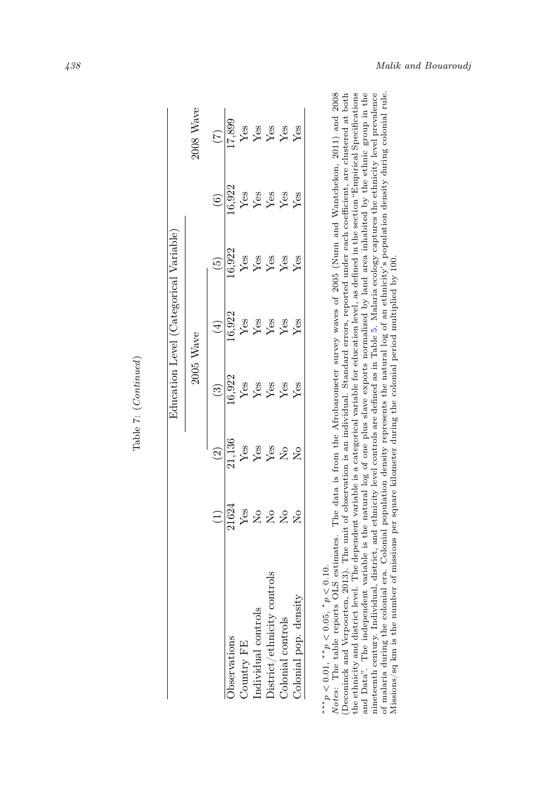|                            |                                                            |                                                                                                                                                                                                                                                                                                                                                                                                                                                                                                                                                                                                                                        |                                                | Education Level (Categorical Variable)                                                                                                                                                                                                                                                                                   |                                         |                                             |
|----------------------------|------------------------------------------------------------|----------------------------------------------------------------------------------------------------------------------------------------------------------------------------------------------------------------------------------------------------------------------------------------------------------------------------------------------------------------------------------------------------------------------------------------------------------------------------------------------------------------------------------------------------------------------------------------------------------------------------------------|------------------------------------------------|--------------------------------------------------------------------------------------------------------------------------------------------------------------------------------------------------------------------------------------------------------------------------------------------------------------------------|-----------------------------------------|---------------------------------------------|
|                            |                                                            |                                                                                                                                                                                                                                                                                                                                                                                                                                                                                                                                                                                                                                        | $2005$ Wave                                    |                                                                                                                                                                                                                                                                                                                          |                                         | Nave<br>$2008^{\degree}$                    |
|                            | $\widehat{c}$                                              | $\binom{3}{2}$                                                                                                                                                                                                                                                                                                                                                                                                                                                                                                                                                                                                                         | $\bigoplus$                                    | $\binom{5}{2}$                                                                                                                                                                                                                                                                                                           |                                         |                                             |
| Observations               |                                                            |                                                                                                                                                                                                                                                                                                                                                                                                                                                                                                                                                                                                                                        |                                                |                                                                                                                                                                                                                                                                                                                          | $\frac{(6)}{(6,922)}$<br>Yes we yes yes | $\frac{17}{17,899}$<br>Yes Y<br>Yes Yes Yes |
| Country FE                 |                                                            |                                                                                                                                                                                                                                                                                                                                                                                                                                                                                                                                                                                                                                        |                                                |                                                                                                                                                                                                                                                                                                                          |                                         |                                             |
| Individual controls        |                                                            |                                                                                                                                                                                                                                                                                                                                                                                                                                                                                                                                                                                                                                        |                                                |                                                                                                                                                                                                                                                                                                                          |                                         |                                             |
| District/ethnicity control | $\frac{\text{Yes}}{\text{Yes}}$<br>Yes<br>Yes<br>Yes<br>No | $\frac{\text{16,922}}{\text{Yes}} \newline \text{Yes} \newline \text{Yes} \newline \text{Yes} \newline \text{Yes} \newline \text{Yes} \newline \text{Yes} \newline \text{Yes} \newline \text{Yes} \newline \text{Yes} \newline \text{Yes} \newline \text{Yes} \newline \text{Yes} \newline \text{Yes} \newline \text{Yes} \newline \text{Yes} \newline \text{Yes} \newline \text{Yes} \newline \text{Yes} \newline \text{Yes} \newline \text{Yes} \newline \text{Yes} \newline \text{Yes} \newline \text{Yes} \newline \text{Yes} \newline \text{Yes} \newline \text{Yes} \newline \text{Yes} \newline \text{Yes} \newline \text{Yes}$ | $\frac{16,922}{\text{Yes}}$<br>Yes Yes Yes Yes | $\frac{0.922}{Y}$<br>$\frac{1}{Y}$ $\frac{1}{Y}$ $\frac{1}{Y}$ $\frac{1}{Y}$ $\frac{1}{Y}$ $\frac{1}{Y}$ $\frac{1}{Y}$ $\frac{1}{Y}$ $\frac{1}{Y}$ $\frac{1}{Y}$ $\frac{1}{Y}$ $\frac{1}{Y}$ $\frac{1}{Y}$ $\frac{1}{Y}$ $\frac{1}{Y}$ $\frac{1}{Y}$ $\frac{1}{Y}$ $\frac{1}{Y}$ $\frac{1}{Y}$ $\frac{1}{Y}$ $\frac{1}{$ |                                         |                                             |
| Colonial controls          |                                                            |                                                                                                                                                                                                                                                                                                                                                                                                                                                                                                                                                                                                                                        |                                                |                                                                                                                                                                                                                                                                                                                          |                                         |                                             |
| Colonial pop. density      |                                                            |                                                                                                                                                                                                                                                                                                                                                                                                                                                                                                                                                                                                                                        |                                                |                                                                                                                                                                                                                                                                                                                          |                                         |                                             |

| r. | ٠             |
|----|---------------|
|    |               |
| ŕ  | í             |
| Į  |               |
|    |               |
|    |               |
|    |               |
|    |               |
|    |               |
|    |               |
|    |               |
|    |               |
|    |               |
|    |               |
|    |               |
|    | $\frac{1}{4}$ |
|    |               |

\*\*\* $p < 0.01$ , \*\* $p < 0.05$ , \* $p < 0.10$ .

of malaria during the colonial era. Colonial population density represents the natural log of an ethnicity's population density during colonial rule.<br>Missions/sq km is the number of missions per square kilometer during the Deconinck and Verpoorten, 2013). The unit of observation is an individual. Standard errors, reported under each coefficient, are clustered at both the ethnicity and district level. The dependent variable is a categorical variable for education level, as defined in the section "Empirical Specifications nineteenth century. Individual, district, and ethnicity level controls are defined as in Table 5. Malaria ecology captures the ethnicity level prevalence \*\*\*  $p < 0.01$ , \*  $p < 0.05$ , \*  $p < 0.10$ .<br>Notes: The table reports OLS estimates. The data is from the Afrobarometer survey waves of 2005 (Num and Wantchekon, 2011) and 2008<br>Notes: The table reports OLS estimates. The data Notes: The table reports OLS estimates. The data is from the Afrobarometer survey waves of 2005 (Nunn and Wantchekon, 2011) and 2008 and Data". The independent variable is the natural log of one plus slave exports normalized by land area inhabited by the ethnic group in the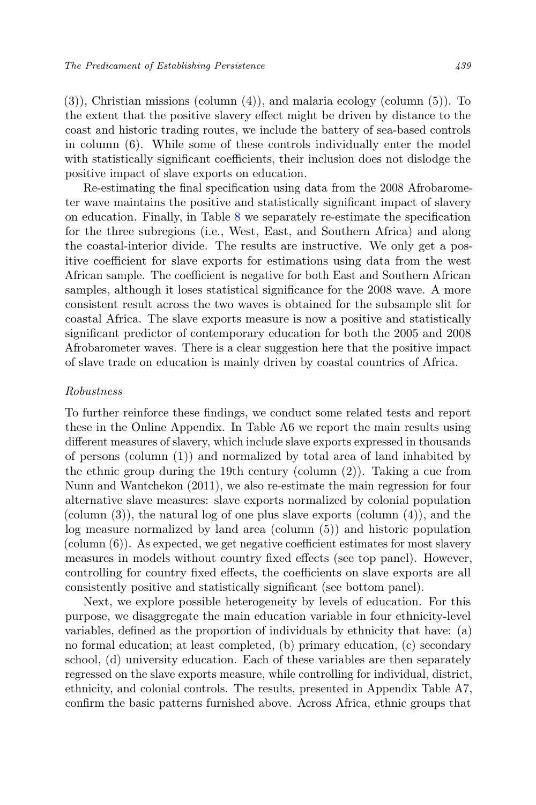(3)), Christian missions (column (4)), and malaria ecology (column (5)). To the extent that the positive slavery effect might be driven by distance to the coast and historic trading routes, we include the battery of sea-based controls in column (6). While some of these controls individually enter the model with statistically significant coefficients, their inclusion does not dislodge the positive impact of slave exports on education.

Re-estimating the final specification using data from the 2008 Afrobarometer wave maintains the positive and statistically significant impact of slavery on education. Finally, in Table 8 we separately re-estimate the specification for the three subregions (i.e., West, East, and Southern Africa) and along the coastal-interior divide. The results are instructive. We only get a positive coefficient for slave exports for estimations using data from the west African sample. The coefficient is negative for both East and Southern African samples, although it loses statistical significance for the 2008 wave. A more consistent result across the two waves is obtained for the subsample slit for coastal Africa. The slave exports measure is now a positive and statistically significant predictor of contemporary education for both the 2005 and 2008 Afrobarometer waves. There is a clear suggestion here that the positive impact of slave trade on education is mainly driven by coastal countries of Africa.

#### Robustness

To further reinforce these findings, we conduct some related tests and report these in the Online Appendix. In Table A6 we report the main results using different measures of slavery, which include slave exports expressed in thousands of persons (column (1)) and normalized by total area of land inhabited by the ethnic group during the 19th century (column (2)). Taking a cue from Nunn and Wantchekon (2011), we also re-estimate the main regression for four alternative slave measures: slave exports normalized by colonial population (column (3)), the natural log of one plus slave exports (column (4)), and the log measure normalized by land area (column (5)) and historic population (column (6)). As expected, we get negative coefficient estimates for most slavery measures in models without country fixed effects (see top panel). However, controlling for country fixed effects, the coefficients on slave exports are all consistently positive and statistically significant (see bottom panel).

Next, we explore possible heterogeneity by levels of education. For this purpose, we disaggregate the main education variable in four ethnicity-level variables, defined as the proportion of individuals by ethnicity that have: (a) no formal education; at least completed, (b) primary education, (c) secondary school, (d) university education. Each of these variables are then separately regressed on the slave exports measure, while controlling for individual, district, ethnicity, and colonial controls. The results, presented in Appendix Table A7, confirm the basic patterns furnished above. Across Africa, ethnic groups that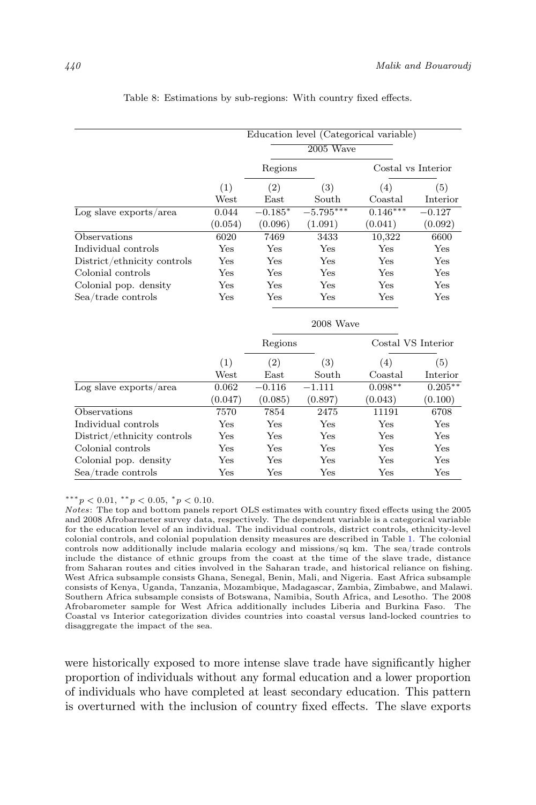|                             |             | Education level (Categorical variable) |             |            |                    |  |  |
|-----------------------------|-------------|----------------------------------------|-------------|------------|--------------------|--|--|
|                             | $2005$ Wave |                                        |             |            |                    |  |  |
|                             |             | Regions                                |             |            | Costal vs Interior |  |  |
|                             | (1)         | (2)                                    | (3)         | (4)        | (5)                |  |  |
|                             | West        | $\rm East$                             | South       | Coastal    | Interior           |  |  |
| $Log$ slave exports/area    | 0.044       | $-0.185*$                              | $-5.795***$ | $0.146***$ | $-0.127$           |  |  |
|                             | (0.054)     | (0.096)                                | (1.091)     | (0.041)    | (0.092)            |  |  |
| Observations                | 6020        | 7469                                   | 3433        | 10,322     | 6600               |  |  |
| Individual controls         | Yes         | Yes                                    | Yes         | Yes        | Yes                |  |  |
| District/ethnicity controls | Yes         | Yes                                    | Yes         | Yes        | Yes                |  |  |
| Colonial controls           | Yes         | Yes                                    | Yes         | Yes        | Yes                |  |  |
| Colonial pop. density       | Yes         | Yes                                    | Yes         | Yes        | Yes                |  |  |
| Sea/trade controls          | Yes         | Yes                                    | Yes         | Yes        | Yes                |  |  |
|                             |             |                                        | 2008 Wave   |            |                    |  |  |
|                             |             | Regions                                |             |            | Costal VS Interior |  |  |
|                             | (1)         | (2)                                    | (3)         | (4)        | (5)                |  |  |
|                             | West        | East                                   | South       | Coastal    | Interior           |  |  |
| $Log$ slave exports/area    | 0.062       | $-0.116$                               | $-1.111$    | $0.098**$  | $0.205***$         |  |  |
|                             | (0.047)     | (0.085)                                | (0.897)     | (0.043)    | (0.100)            |  |  |
| Observations                | 7570        | 7854                                   | 2475        | 11191      | 6708               |  |  |
| Individual controls         | Yes         | Yes                                    | Yes         | Yes        | Yes                |  |  |
| District/ethnicity controls | Yes         | Yes                                    | Yes         | Yes        | Yes                |  |  |
| Colonial controls           | Yes         | Yes                                    | Yes         | Yes        | Yes                |  |  |
| Colonial pop. density       | Yes         | Yes                                    | Yes         | Yes        | Yes                |  |  |
| Sea/trade controls          | Yes         | Yes                                    | Yes         | Yes        | Yes                |  |  |

Table 8: Estimations by sub-regions: With country fixed effects.

\*\*\* $p < 0.01,$ \*\* $p < 0.05,$ \* $p < 0.10$ .

Notes: The top and bottom panels report OLS estimates with country fixed effects using the 2005 and 2008 Afrobarmeter survey data, respectively. The dependent variable is a categorical variable for the education level of an individual. The individual controls, district controls, ethnicity-level colonial controls, and colonial population density measures are described in Table 1. The colonial controls now additionally include malaria ecology and missions/sq km. The sea/trade controls include the distance of ethnic groups from the coast at the time of the slave trade, distance from Saharan routes and cities involved in the Saharan trade, and historical reliance on fishing. West Africa subsample consists Ghana, Senegal, Benin, Mali, and Nigeria. East Africa subsample consists of Kenya, Uganda, Tanzania, Mozambique, Madagascar, Zambia, Zimbabwe, and Malawi. Southern Africa subsample consists of Botswana, Namibia, South Africa, and Lesotho. The 2008 Afrobarometer sample for West Africa additionally includes Liberia and Burkina Faso. The Coastal vs Interior categorization divides countries into coastal versus land-locked countries to disaggregate the impact of the sea.

were historically exposed to more intense slave trade have significantly higher proportion of individuals without any formal education and a lower proportion of individuals who have completed at least secondary education. This pattern is overturned with the inclusion of country fixed effects. The slave exports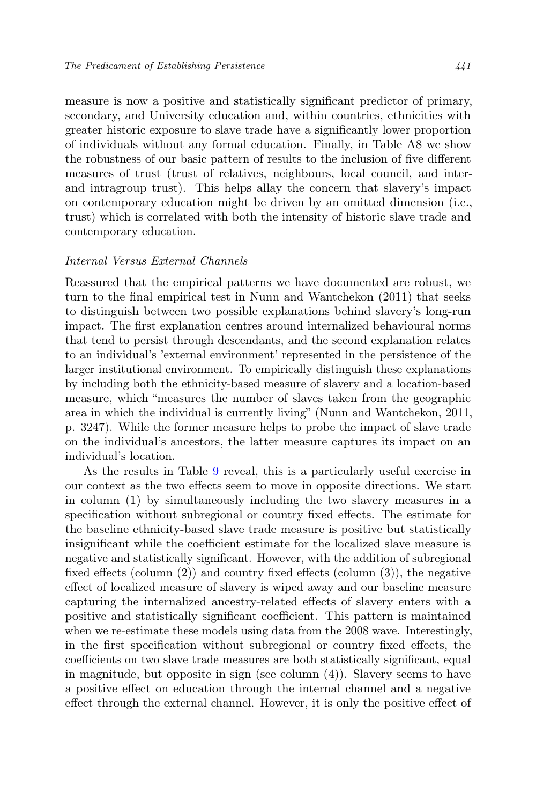measure is now a positive and statistically significant predictor of primary, secondary, and University education and, within countries, ethnicities with greater historic exposure to slave trade have a significantly lower proportion of individuals without any formal education. Finally, in Table A8 we show the robustness of our basic pattern of results to the inclusion of five different measures of trust (trust of relatives, neighbours, local council, and interand intragroup trust). This helps allay the concern that slavery's impact on contemporary education might be driven by an omitted dimension (i.e., trust) which is correlated with both the intensity of historic slave trade and contemporary education.

### Internal Versus External Channels

Reassured that the empirical patterns we have documented are robust, we turn to the final empirical test in Nunn and Wantchekon (2011) that seeks to distinguish between two possible explanations behind slavery's long-run impact. The first explanation centres around internalized behavioural norms that tend to persist through descendants, and the second explanation relates to an individual's 'external environment' represented in the persistence of the larger institutional environment. To empirically distinguish these explanations by including both the ethnicity-based measure of slavery and a location-based measure, which "measures the number of slaves taken from the geographic area in which the individual is currently living" (Nunn and Wantchekon, 2011, p. 3247). While the former measure helps to probe the impact of slave trade on the individual's ancestors, the latter measure captures its impact on an individual's location.

As the results in Table 9 reveal, this is a particularly useful exercise in our context as the two effects seem to move in opposite directions. We start in column (1) by simultaneously including the two slavery measures in a specification without subregional or country fixed effects. The estimate for the baseline ethnicity-based slave trade measure is positive but statistically insignificant while the coefficient estimate for the localized slave measure is negative and statistically significant. However, with the addition of subregional fixed effects (column (2)) and country fixed effects (column (3)), the negative effect of localized measure of slavery is wiped away and our baseline measure capturing the internalized ancestry-related effects of slavery enters with a positive and statistically significant coefficient. This pattern is maintained when we re-estimate these models using data from the 2008 wave. Interestingly, in the first specification without subregional or country fixed effects, the coefficients on two slave trade measures are both statistically significant, equal in magnitude, but opposite in sign (see column  $(4)$ ). Slavery seems to have a positive effect on education through the internal channel and a negative effect through the external channel. However, it is only the positive effect of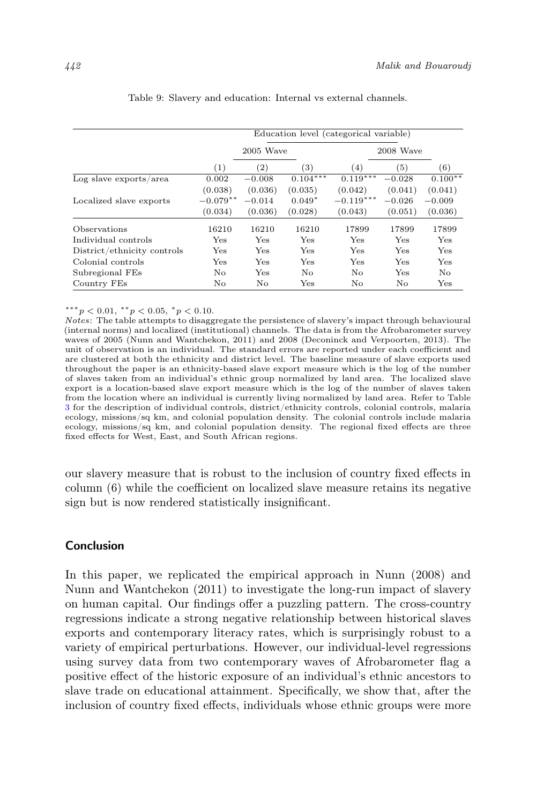|                             | Education level (categorical variable) |                   |                   |             |          |           |
|-----------------------------|----------------------------------------|-------------------|-------------------|-------------|----------|-----------|
|                             | $2005$ Wave                            |                   |                   | 2008 Wave   |          |           |
|                             | (1)                                    | $\left( 2\right)$ | $\left( 3\right)$ | (4)         | (5)      | (6)       |
| $Log$ slave exports/area    | 0.002                                  | $-0.008$          | $0.104***$        | $0.119***$  | $-0.028$ | $0.100**$ |
|                             | (0.038)                                | (0.036)           | (0.035)           | (0.042)     | (0.041)  | (0.041)   |
| Localized slave exports     | $-0.079**$                             | $-0.014$          | $0.049*$          | $-0.119***$ | $-0.026$ | $-0.009$  |
|                             | (0.034)                                | (0.036)           | (0.028)           | (0.043)     | (0.051)  | (0.036)   |
| Observations                | 16210                                  | 16210             | 16210             | 17899       | 17899    | 17899     |
| Individual controls         | Yes                                    | Yes               | Yes               | Yes         | Yes      | Yes       |
| District/ethnicity controls | Yes                                    | Yes               | Yes               | Yes         | Yes      | Yes       |
| Colonial controls           | Yes                                    | Yes               | Yes               | Yes         | Yes      | Yes       |
| Subregional FEs             | No                                     | Yes               | No                | No          | Yes      | No        |
| Country FEs                 | No                                     | No                | Yes               | No          | No.      | Yes       |

Table 9: Slavery and education: Internal vs external channels.

\*\*\* $p < 0.01,$ \*\* $p < 0.05,$ \* $p < 0.10$ .

Notes: The table attempts to disaggregate the persistence of slavery's impact through behavioural (internal norms) and localized (institutional) channels. The data is from the Afrobarometer survey waves of 2005 (Nunn and Wantchekon, 2011) and 2008 (Deconinck and Verpoorten, 2013). The unit of observation is an individual. The standard errors are reported under each coefficient and are clustered at both the ethnicity and district level. The baseline measure of slave exports used throughout the paper is an ethnicity-based slave export measure which is the log of the number of slaves taken from an individual's ethnic group normalized by land area. The localized slave export is a location-based slave export measure which is the log of the number of slaves taken from the location where an individual is currently living normalized by land area. Refer to Table 3 for the description of individual controls, district/ethnicity controls, colonial controls, malaria ecology, missions/sq km, and colonial population density. The colonial controls include malaria ecology, missions/sq km, and colonial population density. The regional fixed effects are three fixed effects for West, East, and South African regions.

our slavery measure that is robust to the inclusion of country fixed effects in column (6) while the coefficient on localized slave measure retains its negative sign but is now rendered statistically insignificant.

## Conclusion

In this paper, we replicated the empirical approach in Nunn (2008) and Nunn and Wantchekon (2011) to investigate the long-run impact of slavery on human capital. Our findings offer a puzzling pattern. The cross-country regressions indicate a strong negative relationship between historical slaves exports and contemporary literacy rates, which is surprisingly robust to a variety of empirical perturbations. However, our individual-level regressions using survey data from two contemporary waves of Afrobarometer flag a positive effect of the historic exposure of an individual's ethnic ancestors to slave trade on educational attainment. Specifically, we show that, after the inclusion of country fixed effects, individuals whose ethnic groups were more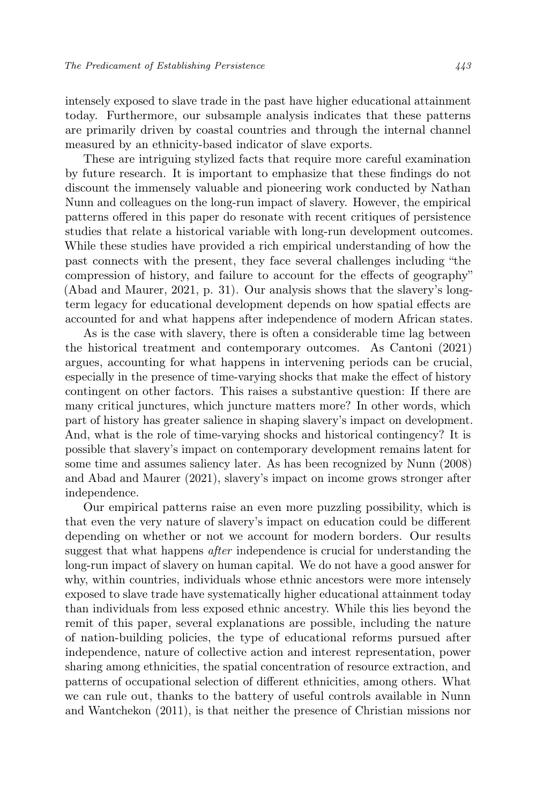intensely exposed to slave trade in the past have higher educational attainment today. Furthermore, our subsample analysis indicates that these patterns are primarily driven by coastal countries and through the internal channel measured by an ethnicity-based indicator of slave exports.

These are intriguing stylized facts that require more careful examination by future research. It is important to emphasize that these findings do not discount the immensely valuable and pioneering work conducted by Nathan Nunn and colleagues on the long-run impact of slavery. However, the empirical patterns offered in this paper do resonate with recent critiques of persistence studies that relate a historical variable with long-run development outcomes. While these studies have provided a rich empirical understanding of how the past connects with the present, they face several challenges including "the compression of history, and failure to account for the effects of geography" (Abad and Maurer, 2021, p. 31). Our analysis shows that the slavery's longterm legacy for educational development depends on how spatial effects are accounted for and what happens after independence of modern African states.

As is the case with slavery, there is often a considerable time lag between the historical treatment and contemporary outcomes. As Cantoni (2021) argues, accounting for what happens in intervening periods can be crucial, especially in the presence of time-varying shocks that make the effect of history contingent on other factors. This raises a substantive question: If there are many critical junctures, which juncture matters more? In other words, which part of history has greater salience in shaping slavery's impact on development. And, what is the role of time-varying shocks and historical contingency? It is possible that slavery's impact on contemporary development remains latent for some time and assumes saliency later. As has been recognized by Nunn (2008) and Abad and Maurer (2021), slavery's impact on income grows stronger after independence.

Our empirical patterns raise an even more puzzling possibility, which is that even the very nature of slavery's impact on education could be different depending on whether or not we account for modern borders. Our results suggest that what happens after independence is crucial for understanding the long-run impact of slavery on human capital. We do not have a good answer for why, within countries, individuals whose ethnic ancestors were more intensely exposed to slave trade have systematically higher educational attainment today than individuals from less exposed ethnic ancestry. While this lies beyond the remit of this paper, several explanations are possible, including the nature of nation-building policies, the type of educational reforms pursued after independence, nature of collective action and interest representation, power sharing among ethnicities, the spatial concentration of resource extraction, and patterns of occupational selection of different ethnicities, among others. What we can rule out, thanks to the battery of useful controls available in Nunn and Wantchekon (2011), is that neither the presence of Christian missions nor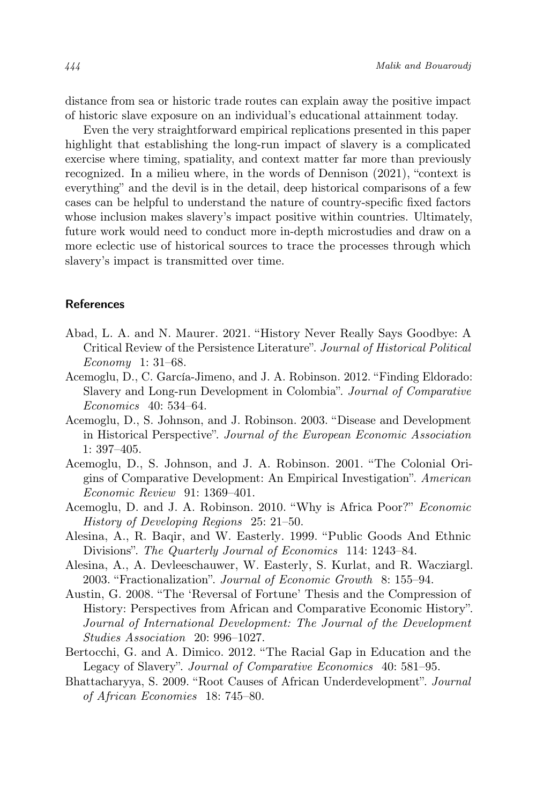distance from sea or historic trade routes can explain away the positive impact of historic slave exposure on an individual's educational attainment today.

Even the very straightforward empirical replications presented in this paper highlight that establishing the long-run impact of slavery is a complicated exercise where timing, spatiality, and context matter far more than previously recognized. In a milieu where, in the words of Dennison (2021), "context is everything" and the devil is in the detail, deep historical comparisons of a few cases can be helpful to understand the nature of country-specific fixed factors whose inclusion makes slavery's impact positive within countries. Ultimately, future work would need to conduct more in-depth microstudies and draw on a more eclectic use of historical sources to trace the processes through which slavery's impact is transmitted over time.

# References

- Abad, L. A. and N. Maurer. 2021. "History Never Really Says Goodbye: A Critical Review of the Persistence Literature". Journal of Historical Political Economy 1: 31–68.
- Acemoglu, D., C. García-Jimeno, and J. A. Robinson. 2012. "Finding Eldorado: Slavery and Long-run Development in Colombia". Journal of Comparative Economics 40: 534–64.
- Acemoglu, D., S. Johnson, and J. Robinson. 2003. "Disease and Development in Historical Perspective". Journal of the European Economic Association 1: 397–405.
- Acemoglu, D., S. Johnson, and J. A. Robinson. 2001. "The Colonial Origins of Comparative Development: An Empirical Investigation". American Economic Review 91: 1369–401.
- Acemoglu, D. and J. A. Robinson. 2010. "Why is Africa Poor?" Economic History of Developing Regions 25: 21–50.
- Alesina, A., R. Baqir, and W. Easterly. 1999. "Public Goods And Ethnic Divisions". The Quarterly Journal of Economics 114: 1243–84.
- Alesina, A., A. Devleeschauwer, W. Easterly, S. Kurlat, and R. Wacziargl. 2003. "Fractionalization". Journal of Economic Growth 8: 155–94.
- Austin, G. 2008. "The 'Reversal of Fortune' Thesis and the Compression of History: Perspectives from African and Comparative Economic History". Journal of International Development: The Journal of the Development Studies Association 20: 996–1027.
- Bertocchi, G. and A. Dimico. 2012. "The Racial Gap in Education and the Legacy of Slavery". Journal of Comparative Economics 40: 581–95.
- Bhattacharyya, S. 2009. "Root Causes of African Underdevelopment". Journal of African Economies 18: 745–80.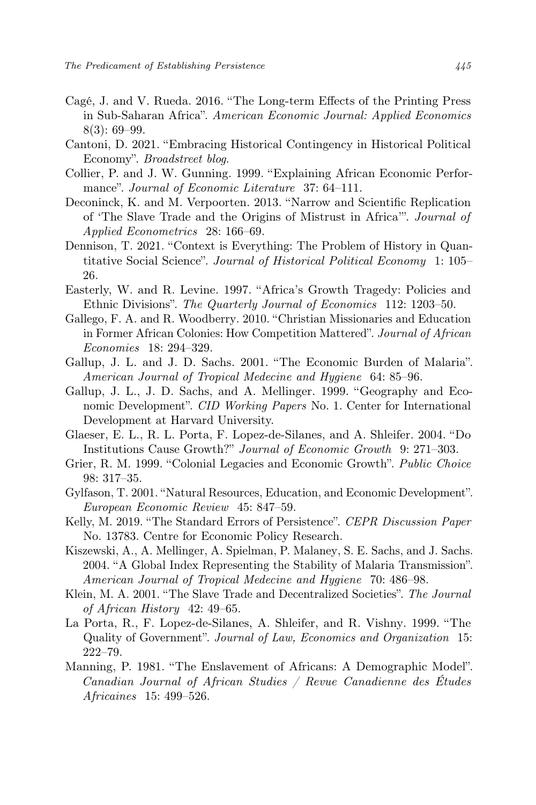- Cagé, J. and V. Rueda. 2016. "The Long-term Effects of the Printing Press in Sub-Saharan Africa". American Economic Journal: Applied Economics 8(3): 69–99.
- Cantoni, D. 2021. "Embracing Historical Contingency in Historical Political Economy". Broadstreet blog.
- Collier, P. and J. W. Gunning. 1999. "Explaining African Economic Performance". Journal of Economic Literature 37: 64–111.
- Deconinck, K. and M. Verpoorten. 2013. "Narrow and Scientific Replication of 'The Slave Trade and the Origins of Mistrust in Africa'". Journal of Applied Econometrics 28: 166–69.
- Dennison, T. 2021. "Context is Everything: The Problem of History in Quantitative Social Science". Journal of Historical Political Economy 1: 105– 26.
- Easterly, W. and R. Levine. 1997. "Africa's Growth Tragedy: Policies and Ethnic Divisions". The Quarterly Journal of Economics 112: 1203–50.
- Gallego, F. A. and R. Woodberry. 2010. "Christian Missionaries and Education in Former African Colonies: How Competition Mattered". Journal of African Economies 18: 294–329.
- Gallup, J. L. and J. D. Sachs. 2001. "The Economic Burden of Malaria". American Journal of Tropical Medecine and Hygiene 64: 85–96.
- Gallup, J. L., J. D. Sachs, and A. Mellinger. 1999. "Geography and Economic Development". CID Working Papers No. 1. Center for International Development at Harvard University.
- Glaeser, E. L., R. L. Porta, F. Lopez-de-Silanes, and A. Shleifer. 2004. "Do Institutions Cause Growth?" Journal of Economic Growth 9: 271–303.
- Grier, R. M. 1999. "Colonial Legacies and Economic Growth". Public Choice 98: 317–35.
- Gylfason, T. 2001. "Natural Resources, Education, and Economic Development". European Economic Review 45: 847–59.
- Kelly, M. 2019. "The Standard Errors of Persistence". CEPR Discussion Paper No. 13783. Centre for Economic Policy Research.
- Kiszewski, A., A. Mellinger, A. Spielman, P. Malaney, S. E. Sachs, and J. Sachs. 2004. "A Global Index Representing the Stability of Malaria Transmission". American Journal of Tropical Medecine and Hygiene 70: 486–98.
- Klein, M. A. 2001. "The Slave Trade and Decentralized Societies". The Journal of African History 42: 49–65.
- La Porta, R., F. Lopez-de-Silanes, A. Shleifer, and R. Vishny. 1999. "The Quality of Government". Journal of Law, Economics and Organization 15: 222–79.
- Manning, P. 1981. "The Enslavement of Africans: A Demographic Model". Canadian Journal of African Studies / Revue Canadienne des Études Africaines 15: 499–526.